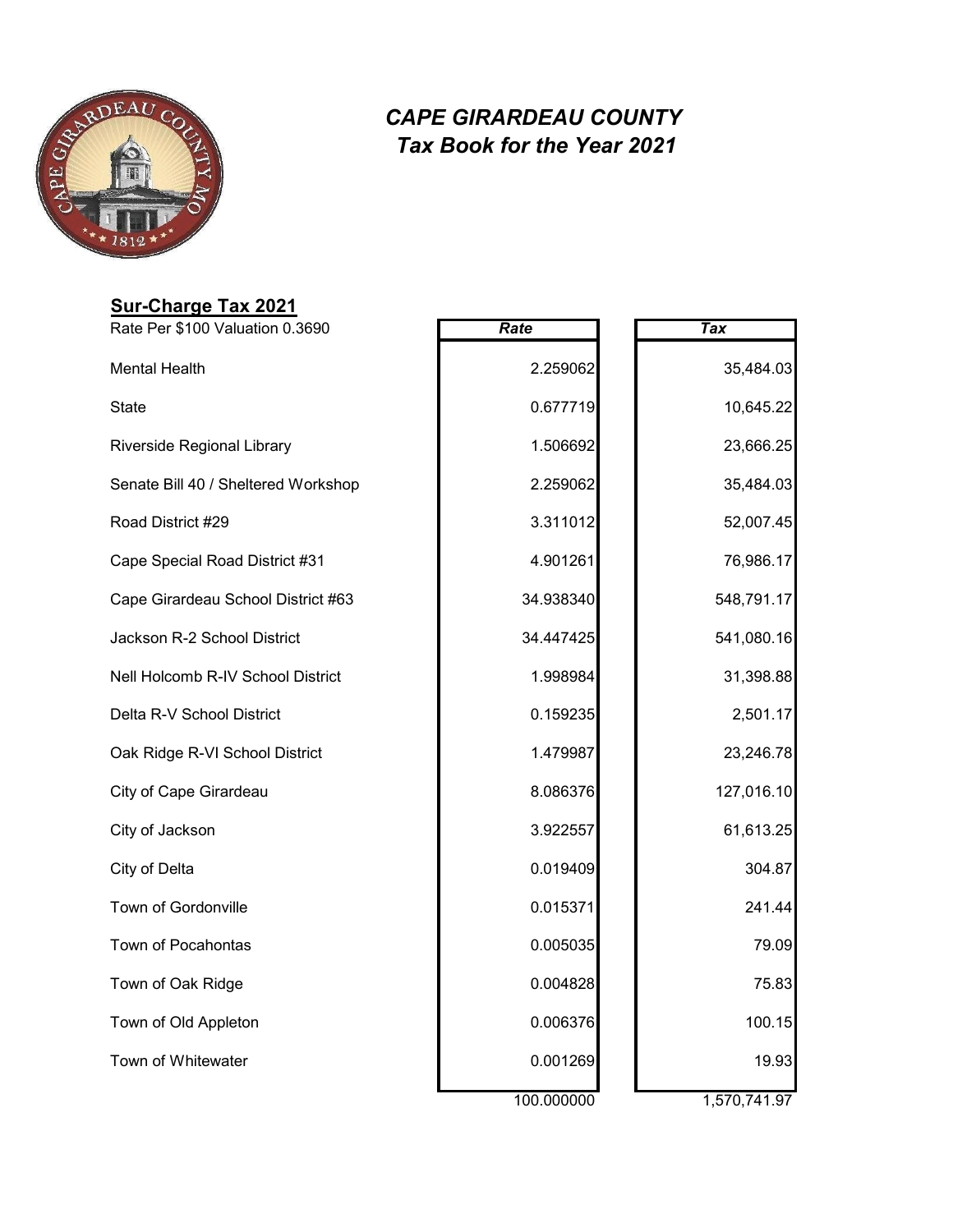

### **Sur-Charge Tax 2021**

| Rate Per \$100 Valuation 0.3690     | Rate       | <b>Tax</b>   |
|-------------------------------------|------------|--------------|
| <b>Mental Health</b>                | 2.259062   | 35,484.03    |
| <b>State</b>                        | 0.677719   | 10,645.22    |
| Riverside Regional Library          | 1.506692   | 23,666.25    |
| Senate Bill 40 / Sheltered Workshop | 2.259062   | 35,484.03    |
| Road District #29                   | 3.311012   | 52,007.45    |
| Cape Special Road District #31      | 4.901261   | 76,986.17    |
| Cape Girardeau School District #63  | 34.938340  | 548,791.17   |
| Jackson R-2 School District         | 34.447425  | 541,080.16   |
| Nell Holcomb R-IV School District   | 1.998984   | 31,398.88    |
| Delta R-V School District           | 0.159235   | 2,501.17     |
| Oak Ridge R-VI School District      | 1.479987   | 23,246.78    |
| City of Cape Girardeau              | 8.086376   | 127,016.10   |
| City of Jackson                     | 3.922557   | 61,613.25    |
| City of Delta                       | 0.019409   | 304.87       |
| Town of Gordonville                 | 0.015371   | 241.44       |
| Town of Pocahontas                  | 0.005035   | 79.09        |
| Town of Oak Ridge                   | 0.004828   | 75.83        |
| Town of Old Appleton                | 0.006376   | 100.15       |
| Town of Whitewater                  | 0.001269   | 19.93        |
|                                     | waan an an | 4 E70 744 07 |

| Tax |            |
|-----|------------|
|     | 35,484.03  |
|     | 10,645.22  |
|     | 23,666.25  |
|     | 35,484.03  |
|     | 52,007.45  |
|     | 76,986.17  |
|     | 548,791.17 |
|     | 541,080.16 |
|     | 31,398.88  |
|     | 2,501.17   |
|     | 23,246.78  |
|     | 127,016.10 |
|     | 61,613.25  |
|     | 304.87     |
|     | 241.44     |
|     | 79.09      |
|     | 75.83      |
|     | 100.15     |
|     | 19.93      |
|     |            |

100.000000 1,570,741.97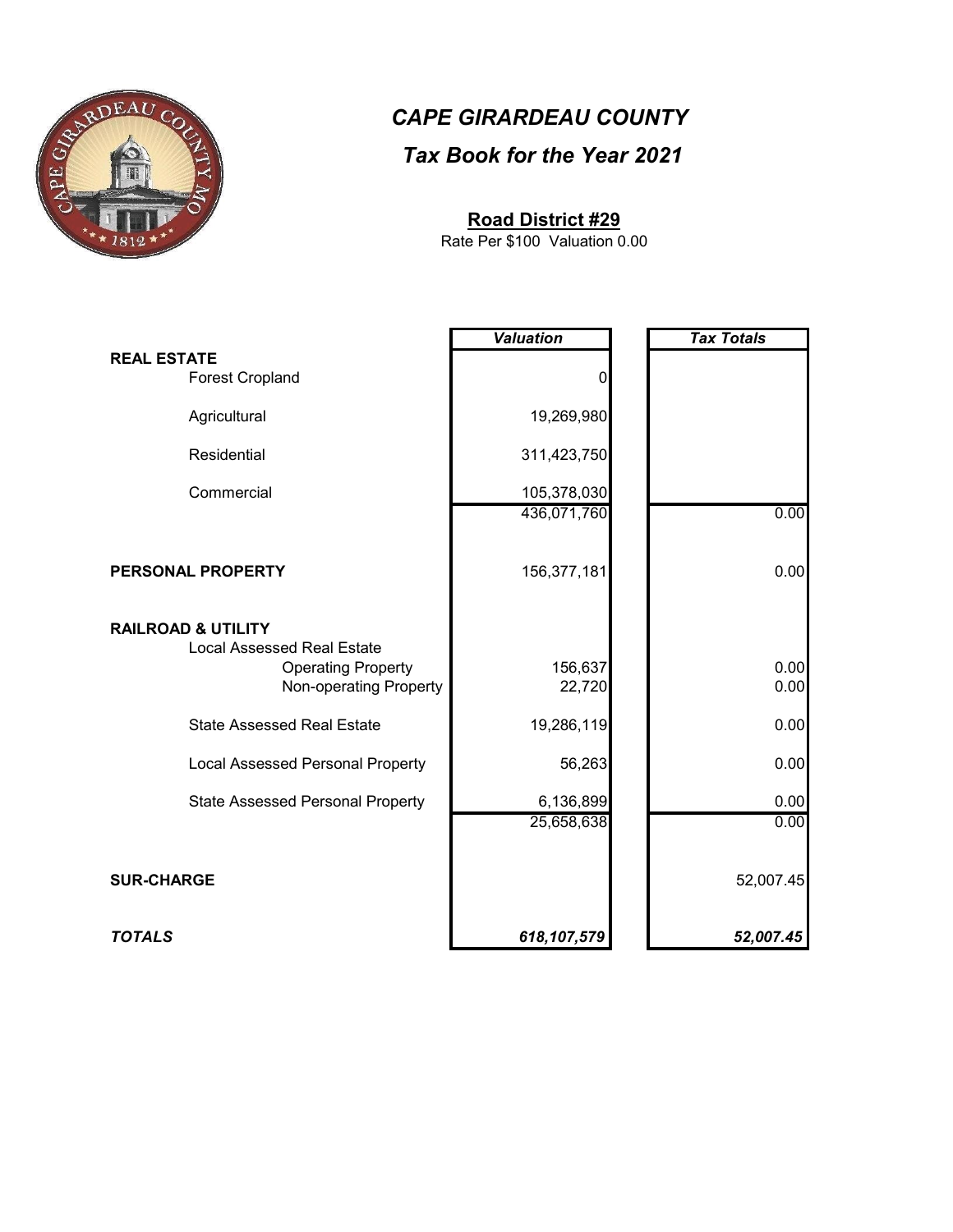

#### **Road District #29**

Rate Per \$100 Valuation 0.00

|                                                                                                                           | <b>Valuation</b>        | <b>Tax Totals</b> |
|---------------------------------------------------------------------------------------------------------------------------|-------------------------|-------------------|
| <b>REAL ESTATE</b><br><b>Forest Cropland</b>                                                                              | 0                       |                   |
| Agricultural                                                                                                              | 19,269,980              |                   |
| Residential                                                                                                               | 311,423,750             |                   |
| Commercial                                                                                                                | 105,378,030             |                   |
|                                                                                                                           | 436,071,760             | 0.00              |
| PERSONAL PROPERTY                                                                                                         | 156,377,181             | 0.00              |
| <b>RAILROAD &amp; UTILITY</b><br><b>Local Assessed Real Estate</b><br><b>Operating Property</b><br>Non-operating Property | 156,637<br>22,720       | 0.00<br>0.00      |
| <b>State Assessed Real Estate</b>                                                                                         | 19,286,119              | 0.00              |
| <b>Local Assessed Personal Property</b>                                                                                   | 56,263                  | 0.00              |
| <b>State Assessed Personal Property</b>                                                                                   | 6,136,899<br>25,658,638 | 0.00<br>0.00      |
| <b>SUR-CHARGE</b>                                                                                                         |                         | 52,007.45         |
| <b>TOTALS</b>                                                                                                             | 618,107,579             | 52,007.45         |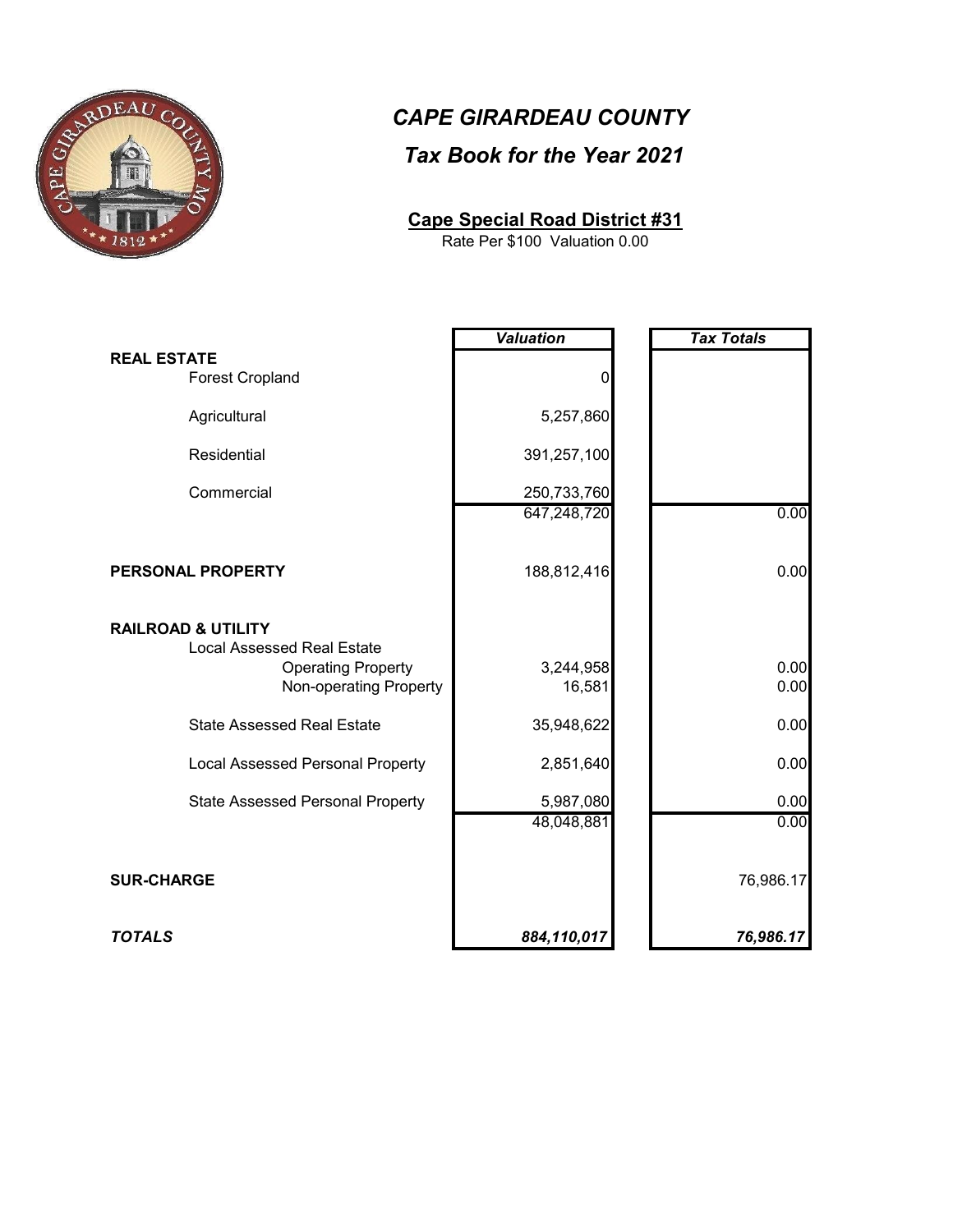

# *CAPE GIRARDEAU COUNTY*

#### *Tax Book for the Year 2021*

#### **Cape Special Road District #31**

Rate Per \$100 Valuation 0.00

|                                                                                                                           | <b>Valuation</b>        | <b>Tax Totals</b> |
|---------------------------------------------------------------------------------------------------------------------------|-------------------------|-------------------|
| <b>REAL ESTATE</b><br>Forest Cropland                                                                                     | 0                       |                   |
| Agricultural                                                                                                              | 5,257,860               |                   |
| Residential                                                                                                               | 391,257,100             |                   |
| Commercial                                                                                                                | 250,733,760             |                   |
|                                                                                                                           | 647,248,720             | 0.00              |
| PERSONAL PROPERTY                                                                                                         | 188,812,416             | 0.00              |
| <b>RAILROAD &amp; UTILITY</b><br><b>Local Assessed Real Estate</b><br><b>Operating Property</b><br>Non-operating Property | 3,244,958<br>16,581     | 0.00<br>0.00      |
| <b>State Assessed Real Estate</b>                                                                                         | 35,948,622              | 0.00              |
| <b>Local Assessed Personal Property</b>                                                                                   | 2,851,640               | 0.00              |
| <b>State Assessed Personal Property</b>                                                                                   | 5,987,080<br>48,048,881 | 0.00<br>0.00      |
| <b>SUR-CHARGE</b>                                                                                                         |                         | 76,986.17         |
| <b>TOTALS</b>                                                                                                             | 884,110,017             | 76,986.17         |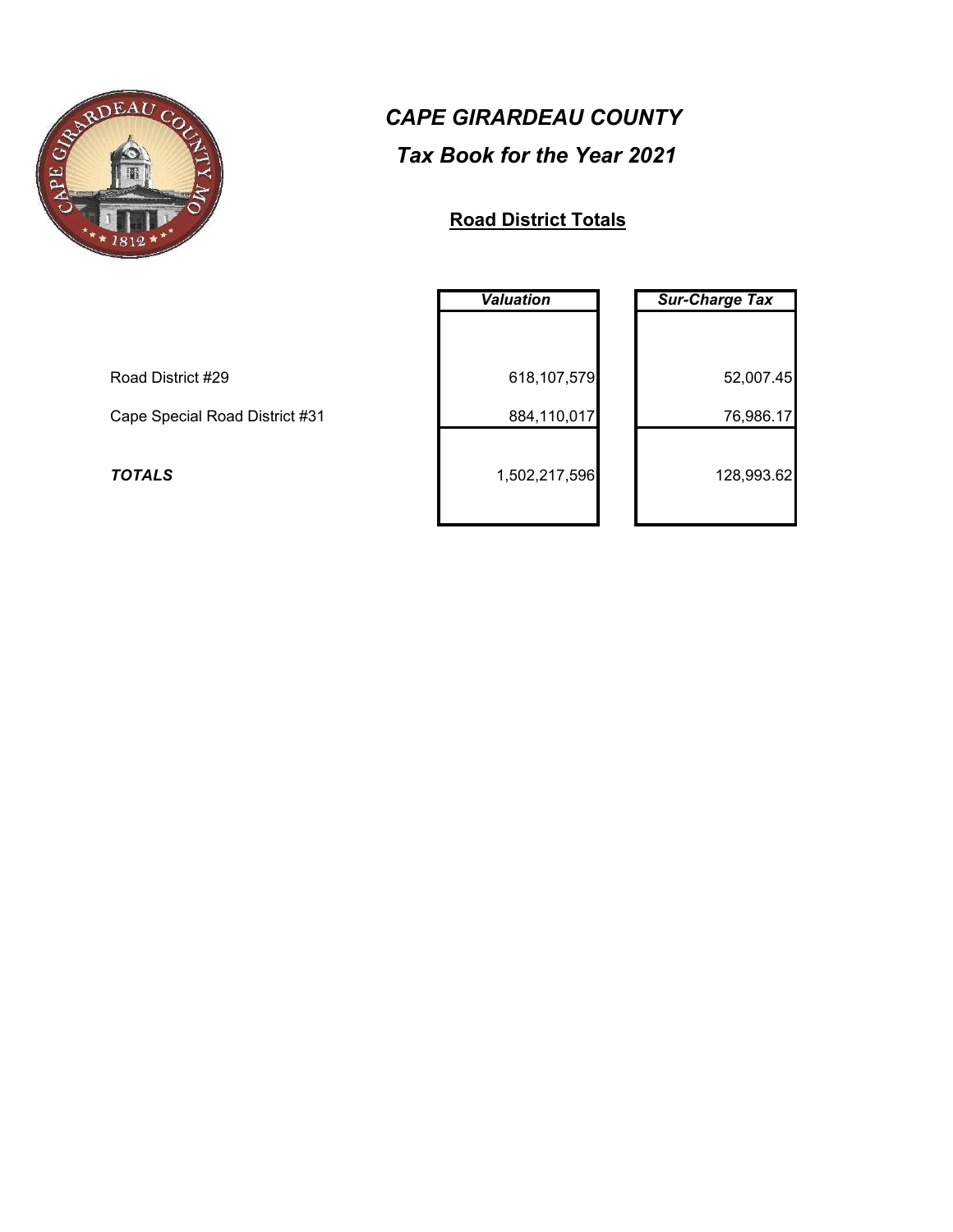

#### **Road District Totals**

|                                | <b>Valuation</b> | <b>Sur-Charge Tax</b> |
|--------------------------------|------------------|-----------------------|
|                                |                  |                       |
| Road District #29              | 618,107,579      | 52,007.45             |
| Cape Special Road District #31 | 884,110,017      | 76,986.17             |
| <b>TOTALS</b>                  | 1,502,217,596    | 128,993.62            |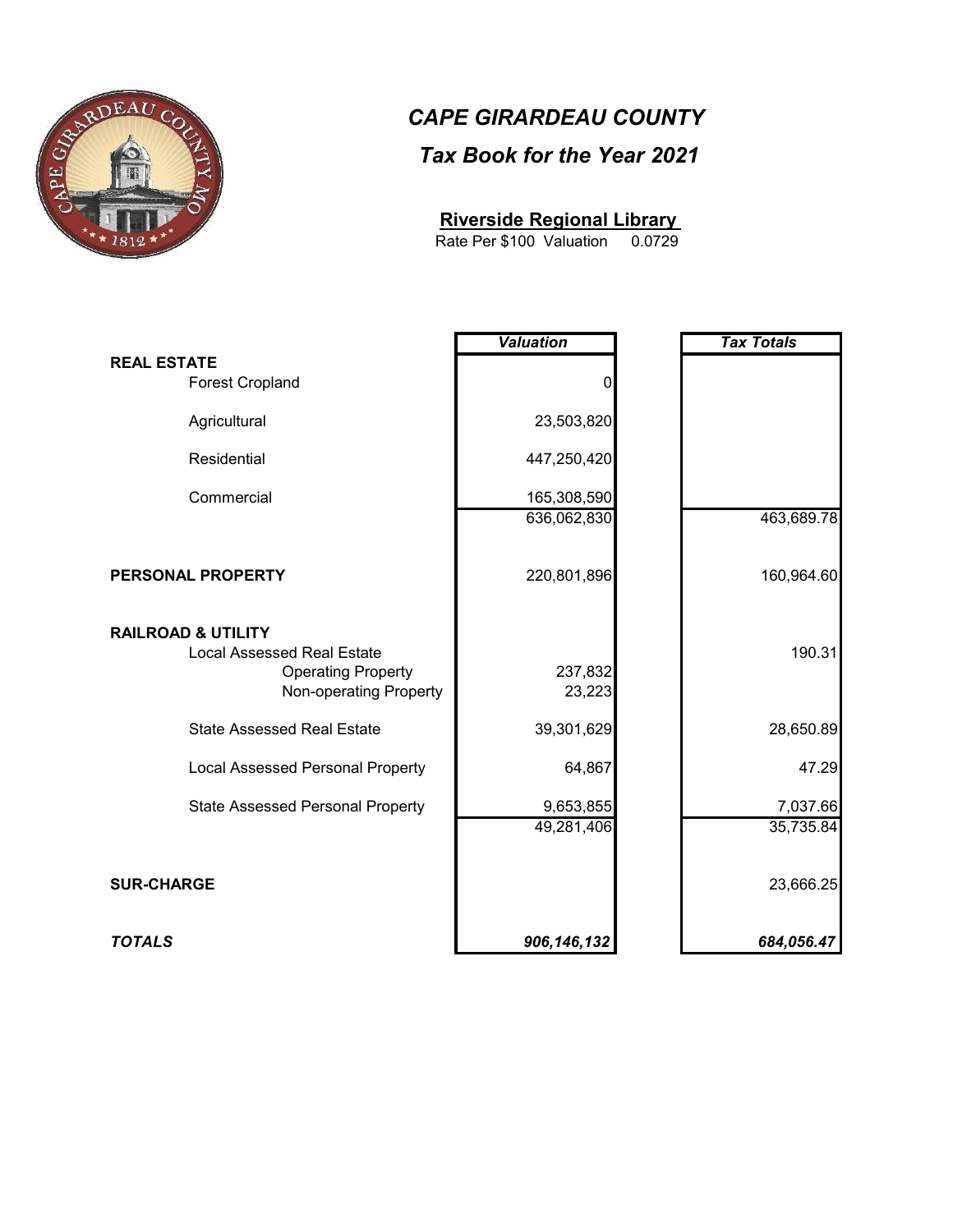

#### **Riverside Regional Library**

0.0729 Rate Per \$100 Valuation

|                                                                                                                           | <b>Valuation</b>        | <b>Tax Totals</b>     |
|---------------------------------------------------------------------------------------------------------------------------|-------------------------|-----------------------|
| <b>REAL ESTATE</b><br><b>Forest Cropland</b>                                                                              |                         |                       |
| Agricultural                                                                                                              | 23,503,820              |                       |
| Residential                                                                                                               | 447,250,420             |                       |
| Commercial                                                                                                                | 165,308,590             |                       |
|                                                                                                                           | 636,062,830             | 463,689.78            |
| PERSONAL PROPERTY                                                                                                         | 220,801,896             | 160,964.60            |
| <b>RAILROAD &amp; UTILITY</b><br><b>Local Assessed Real Estate</b><br><b>Operating Property</b><br>Non-operating Property | 237,832<br>23,223       | 190.31                |
| <b>State Assessed Real Estate</b>                                                                                         | 39,301,629              | 28,650.89             |
| <b>Local Assessed Personal Property</b>                                                                                   | 64,867                  | 47.29                 |
| <b>State Assessed Personal Property</b>                                                                                   | 9,653,855<br>49,281,406 | 7,037.66<br>35,735.84 |
| <b>SUR-CHARGE</b>                                                                                                         |                         | 23,666.25             |
| <b>TOTALS</b>                                                                                                             | 906, 146, 132           | 684,056.47            |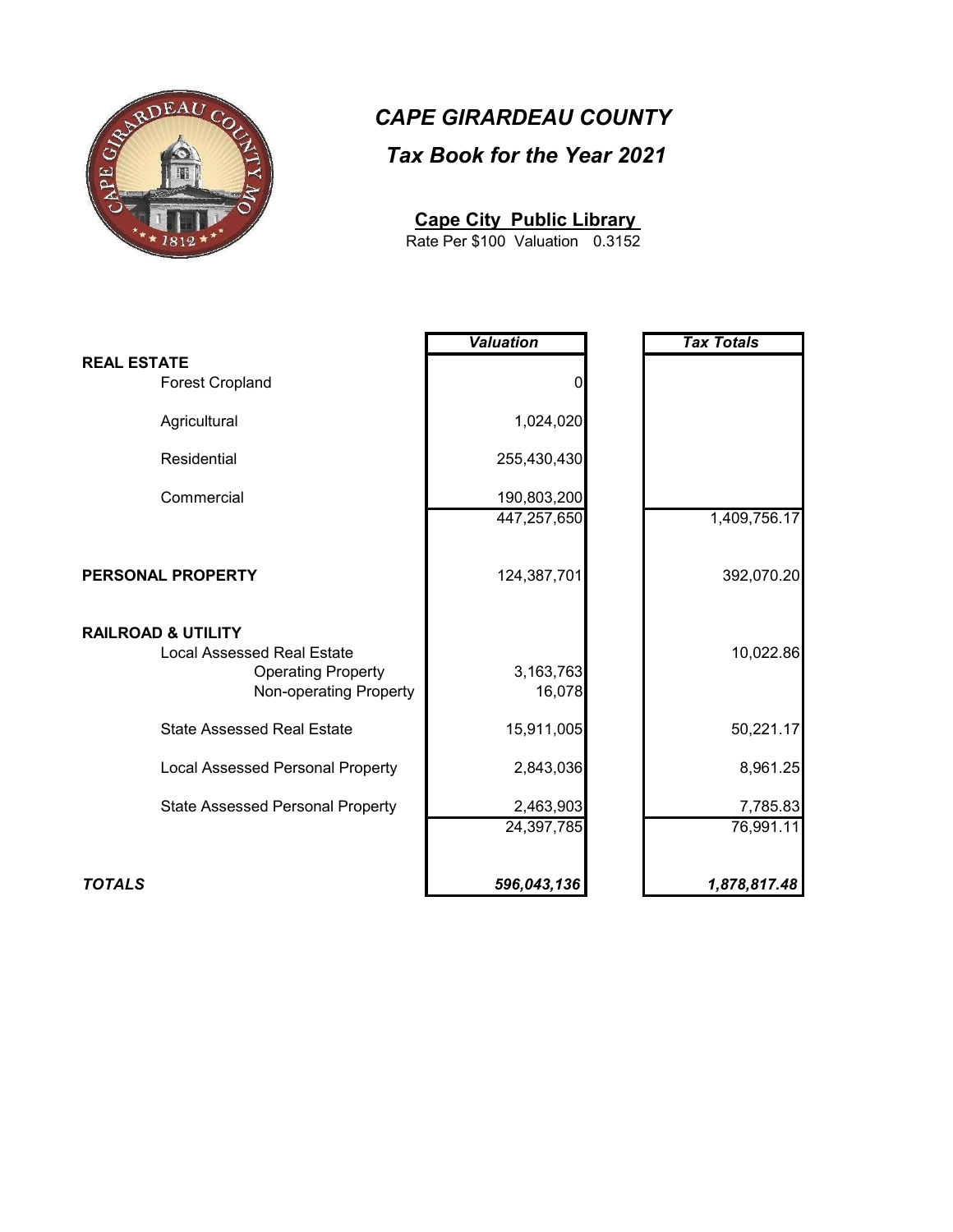

#### **Cape City Public Library**

0.3152 Rate Per \$100 Valuation

|                                                                                          | <b>Valuation</b>        | <b>Tax Totals</b>     |
|------------------------------------------------------------------------------------------|-------------------------|-----------------------|
| <b>REAL ESTATE</b><br><b>Forest Cropland</b>                                             | 0                       |                       |
| Agricultural                                                                             | 1,024,020               |                       |
| Residential                                                                              | 255,430,430             |                       |
| Commercial                                                                               | 190,803,200             |                       |
|                                                                                          | 447,257,650             | 1,409,756.17          |
| PERSONAL PROPERTY                                                                        | 124,387,701             | 392,070.20            |
| <b>RAILROAD &amp; UTILITY</b>                                                            |                         |                       |
| <b>Local Assessed Real Estate</b><br><b>Operating Property</b><br>Non-operating Property | 3,163,763<br>16,078     | 10,022.86             |
| <b>State Assessed Real Estate</b>                                                        | 15,911,005              | 50,221.17             |
| <b>Local Assessed Personal Property</b>                                                  | 2,843,036               | 8,961.25              |
| <b>State Assessed Personal Property</b>                                                  | 2,463,903<br>24,397,785 | 7,785.83<br>76,991.11 |
|                                                                                          |                         |                       |
| <b>TOTALS</b>                                                                            | 596,043,136             | 1,878,817.48          |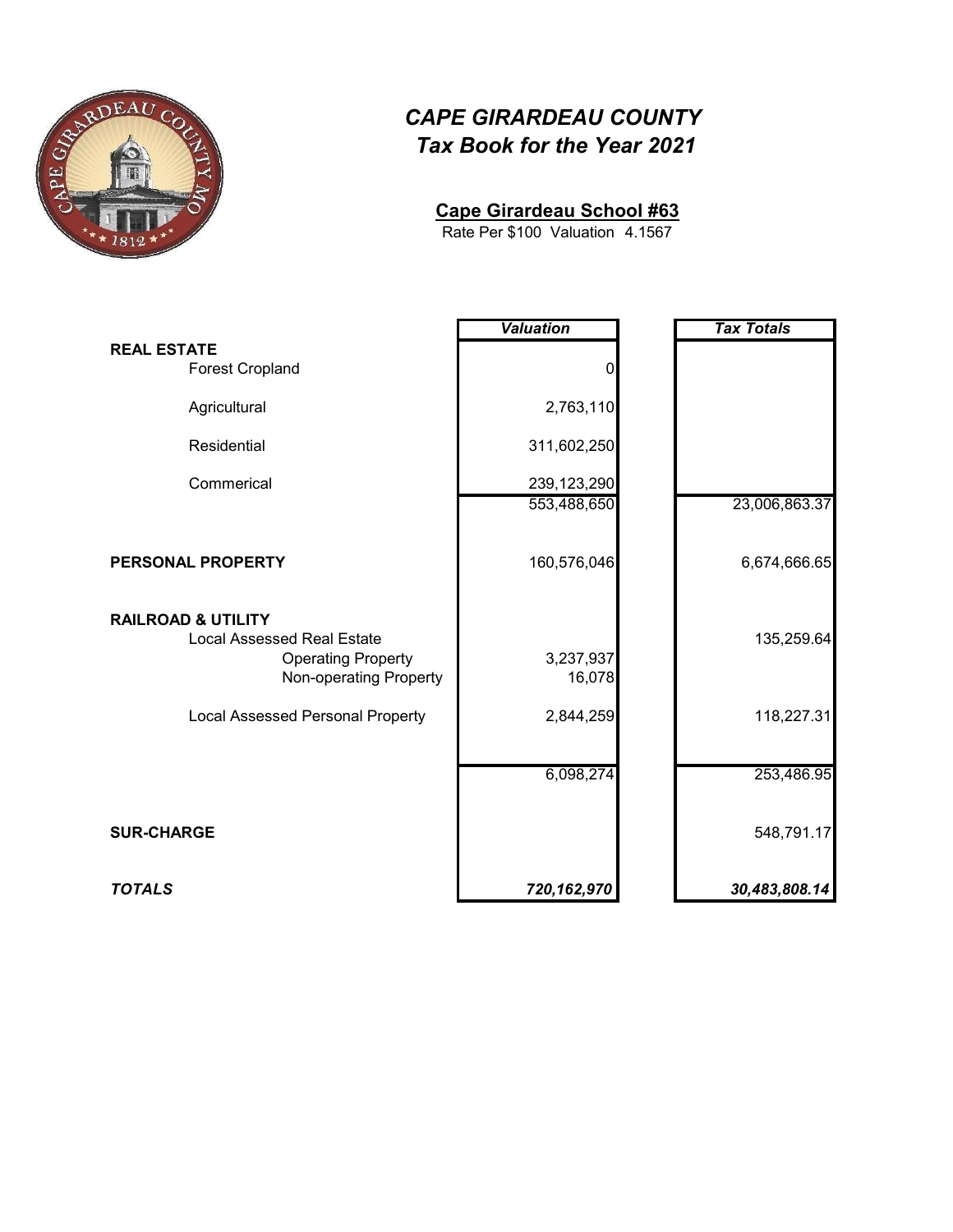

#### **Cape Girardeau School #63**

4.1567 Rate Per \$100 Valuation

|                                                                                                                           | <b>Valuation</b>    | <b>Tax Totals</b> |
|---------------------------------------------------------------------------------------------------------------------------|---------------------|-------------------|
| <b>REAL ESTATE</b><br><b>Forest Cropland</b>                                                                              | 0                   |                   |
| Agricultural                                                                                                              | 2,763,110           |                   |
| Residential                                                                                                               | 311,602,250         |                   |
| Commerical                                                                                                                | 239,123,290         |                   |
|                                                                                                                           | 553,488,650         | 23,006,863.37     |
| <b>PERSONAL PROPERTY</b>                                                                                                  | 160,576,046         | 6,674,666.65      |
| <b>RAILROAD &amp; UTILITY</b><br><b>Local Assessed Real Estate</b><br><b>Operating Property</b><br>Non-operating Property | 3,237,937<br>16,078 | 135,259.64        |
| <b>Local Assessed Personal Property</b>                                                                                   | 2,844,259           | 118,227.31        |
|                                                                                                                           | 6,098,274           | 253,486.95        |
| <b>SUR-CHARGE</b>                                                                                                         |                     | 548,791.17        |
| <b>TOTALS</b>                                                                                                             | 720,162,970         | 30,483,808.14     |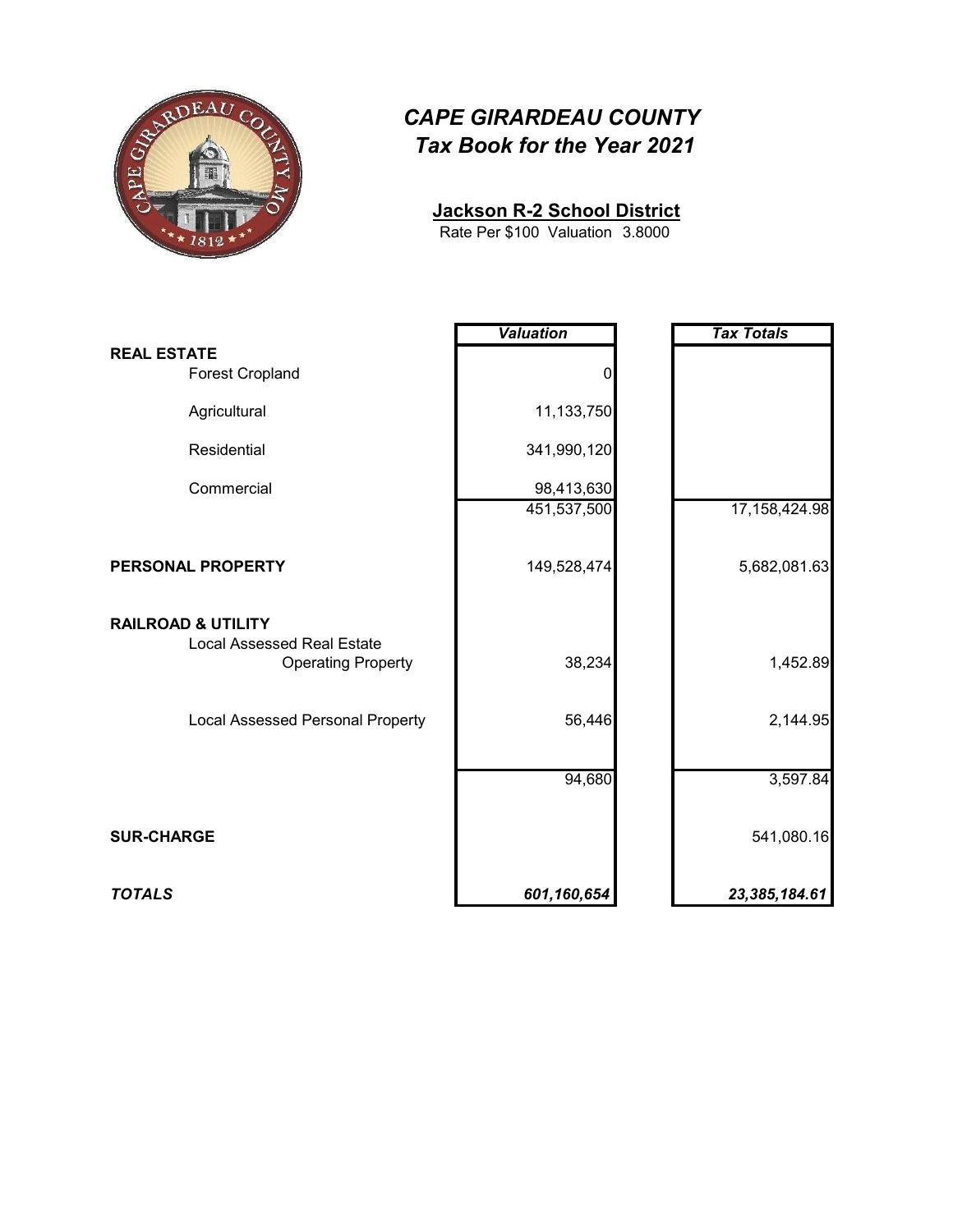

**Jackson R-2 School District**

3.8000 Rate Per \$100 Valuation

|                                                                                                 | <b>Valuation</b> | <b>Tax Totals</b> |
|-------------------------------------------------------------------------------------------------|------------------|-------------------|
| <b>REAL ESTATE</b><br><b>Forest Cropland</b>                                                    | 0                |                   |
| Agricultural                                                                                    | 11,133,750       |                   |
| Residential                                                                                     | 341,990,120      |                   |
| Commercial                                                                                      | 98,413,630       |                   |
|                                                                                                 | 451,537,500      | 17,158,424.98     |
| PERSONAL PROPERTY                                                                               | 149,528,474      | 5,682,081.63      |
| <b>RAILROAD &amp; UTILITY</b><br><b>Local Assessed Real Estate</b><br><b>Operating Property</b> | 38,234           | 1,452.89          |
| Local Assessed Personal Property                                                                | 56,446           | 2,144.95          |
|                                                                                                 | 94,680           | 3,597.84          |
| <b>SUR-CHARGE</b>                                                                               |                  | 541,080.16        |
| <b>TOTALS</b>                                                                                   | 601,160,654      | 23,385,184.61     |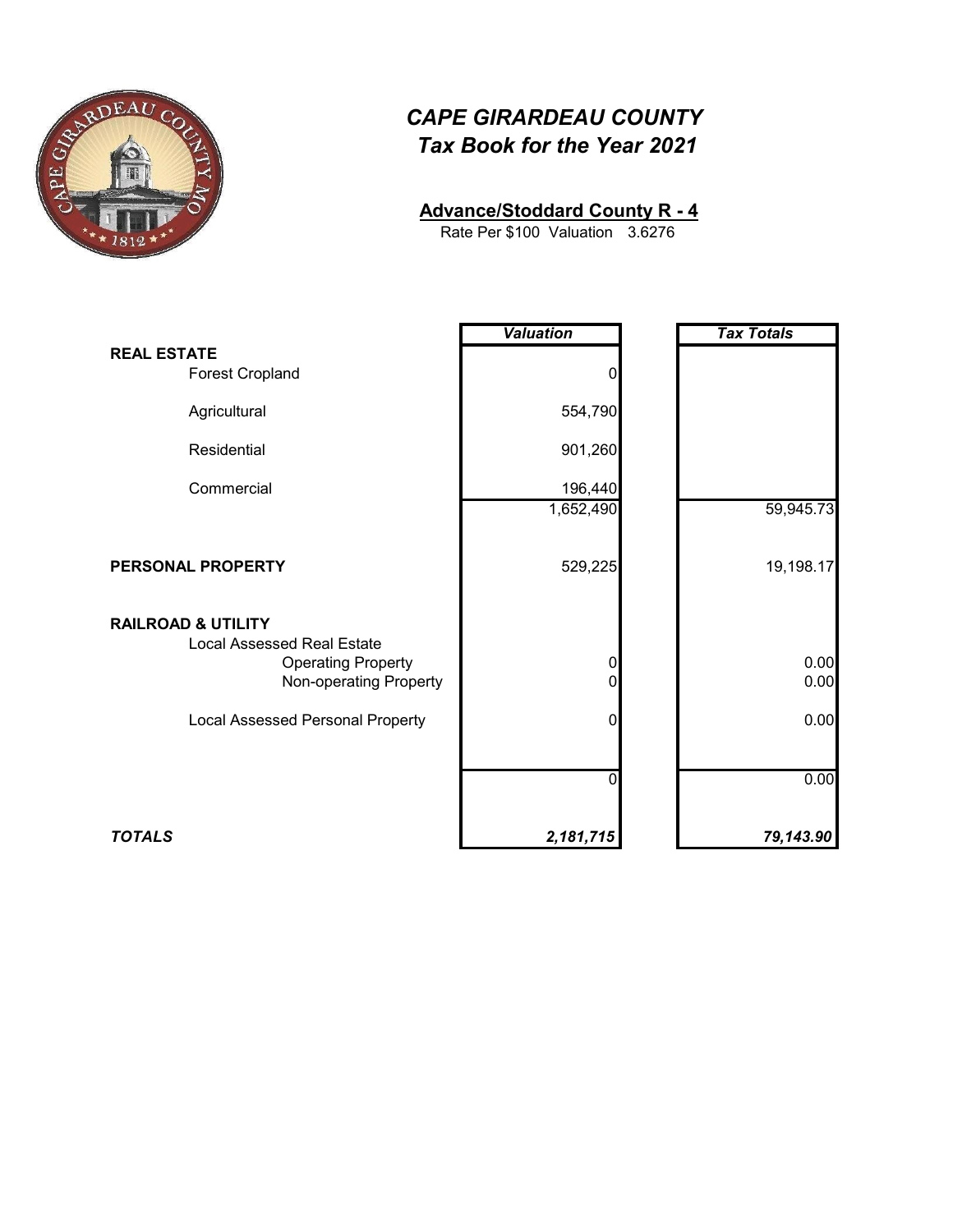

#### **Advance/Stoddard County R - 4**

3.6276 Rate Per \$100 Valuation

|                                                                                                                           | <b>Valuation</b> | <b>Tax Totals</b> |
|---------------------------------------------------------------------------------------------------------------------------|------------------|-------------------|
| <b>REAL ESTATE</b><br><b>Forest Cropland</b>                                                                              | 0                |                   |
| Agricultural                                                                                                              | 554,790          |                   |
| Residential                                                                                                               | 901,260          |                   |
| Commercial                                                                                                                | 196,440          |                   |
|                                                                                                                           | 1,652,490        | 59,945.73         |
| PERSONAL PROPERTY                                                                                                         | 529,225          | 19,198.17         |
| <b>RAILROAD &amp; UTILITY</b><br><b>Local Assessed Real Estate</b><br><b>Operating Property</b><br>Non-operating Property | 0<br>0           | 0.00<br>0.00      |
| <b>Local Assessed Personal Property</b>                                                                                   | 0                | 0.00              |
|                                                                                                                           | U                | 0.00              |
| <b>TOTALS</b>                                                                                                             | 2,181,715        | 79,143.90         |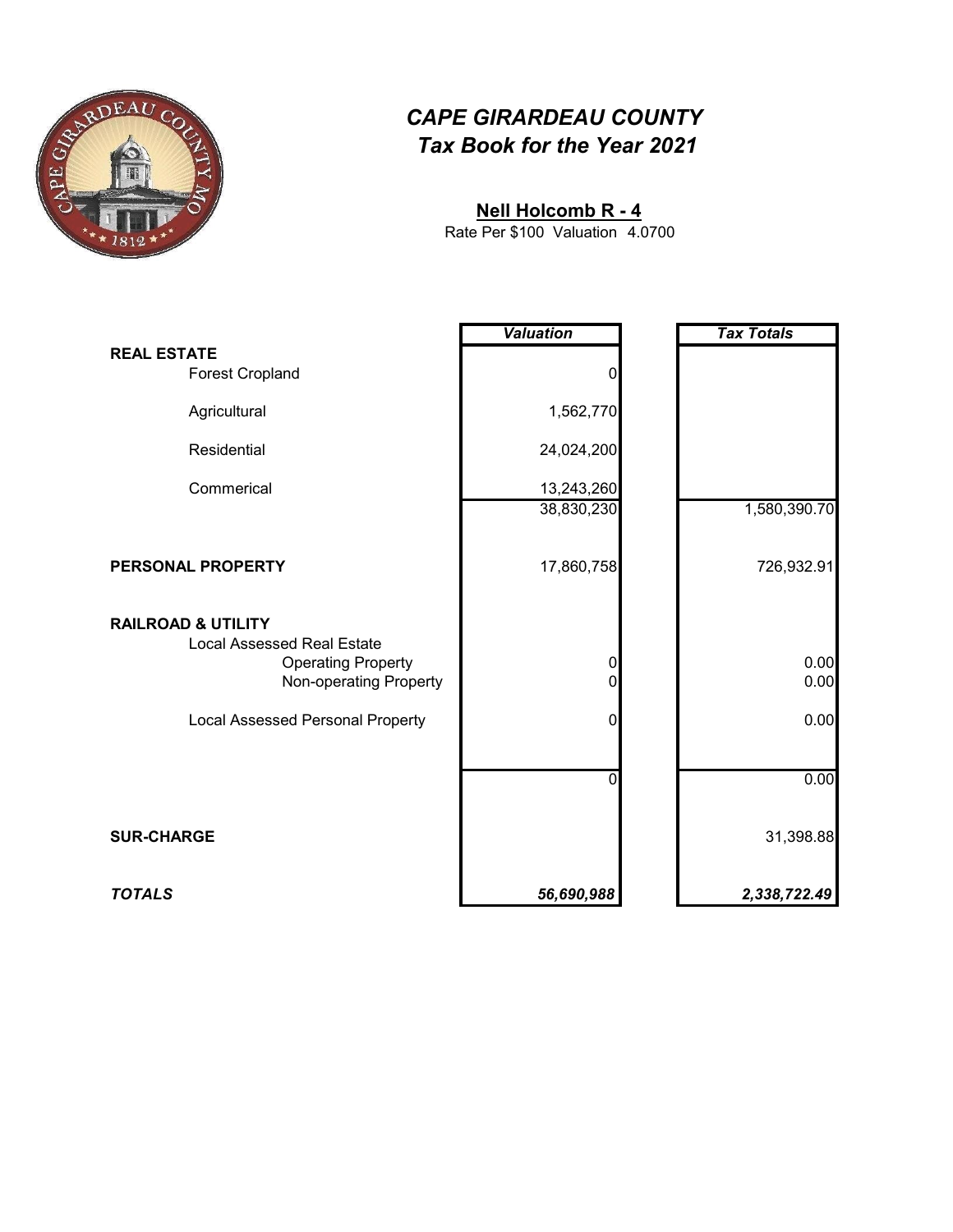

#### **Nell Holcomb R - 4**

4.0700 Rate Per \$100 Valuation

|                                                                                                                           | <b>Valuation</b> | <b>Tax Totals</b> |
|---------------------------------------------------------------------------------------------------------------------------|------------------|-------------------|
| <b>REAL ESTATE</b><br><b>Forest Cropland</b>                                                                              |                  |                   |
| Agricultural                                                                                                              | 1,562,770        |                   |
| Residential                                                                                                               | 24,024,200       |                   |
| Commerical                                                                                                                | 13,243,260       |                   |
|                                                                                                                           | 38,830,230       | 1,580,390.70      |
| PERSONAL PROPERTY                                                                                                         | 17,860,758       | 726,932.91        |
| <b>RAILROAD &amp; UTILITY</b><br><b>Local Assessed Real Estate</b><br><b>Operating Property</b><br>Non-operating Property | 0<br>0           | 0.00<br>0.00      |
| Local Assessed Personal Property                                                                                          | $\mathbf{0}$     | 0.00              |
|                                                                                                                           | n                | 0.00              |
| <b>SUR-CHARGE</b>                                                                                                         |                  | 31,398.88         |
| <b>TOTALS</b>                                                                                                             | 56,690,988       | 2,338,722.49      |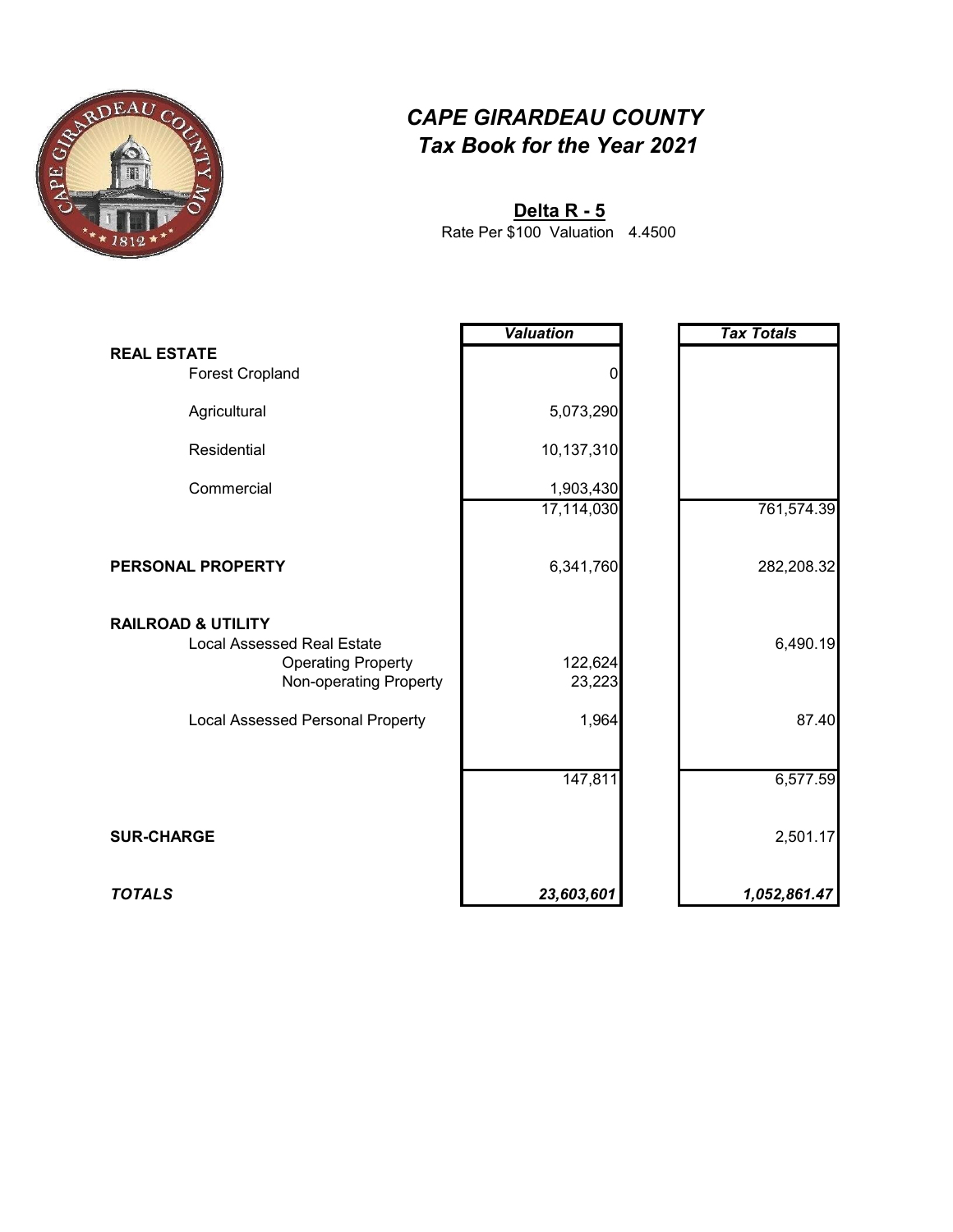

**Delta R - 5**

4.4500 Rate Per \$100 Valuation

|                                                                                                                           | <b>Valuation</b>  | <b>Tax Totals</b> |
|---------------------------------------------------------------------------------------------------------------------------|-------------------|-------------------|
| <b>REAL ESTATE</b><br><b>Forest Cropland</b>                                                                              | 0                 |                   |
| Agricultural                                                                                                              | 5,073,290         |                   |
| Residential                                                                                                               | 10,137,310        |                   |
| Commercial                                                                                                                | 1,903,430         |                   |
|                                                                                                                           | 17,114,030        | 761,574.39        |
| PERSONAL PROPERTY                                                                                                         | 6,341,760         | 282,208.32        |
| <b>RAILROAD &amp; UTILITY</b><br><b>Local Assessed Real Estate</b><br><b>Operating Property</b><br>Non-operating Property | 122,624<br>23,223 | 6,490.19          |
| <b>Local Assessed Personal Property</b>                                                                                   | 1,964             | 87.40             |
|                                                                                                                           | 147,811           | 6,577.59          |
| <b>SUR-CHARGE</b>                                                                                                         |                   | 2,501.17          |
| <b>TOTALS</b>                                                                                                             | 23,603,601        | 1,052,861.47      |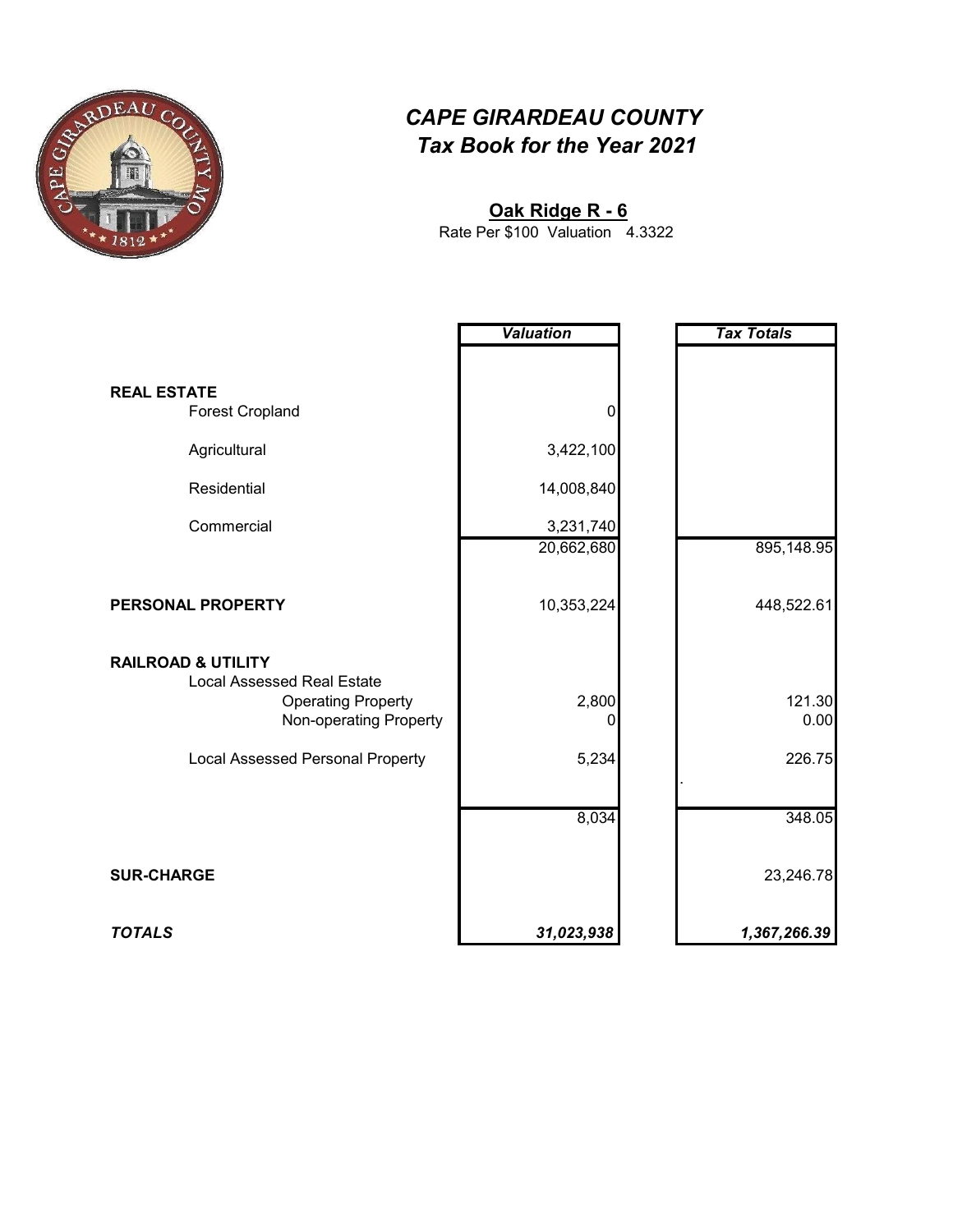

#### **Oak Ridge R - 6**

4.3322 Rate Per \$100 Valuation

|                                                                | <b>Valuation</b> | <b>Tax Totals</b> |
|----------------------------------------------------------------|------------------|-------------------|
|                                                                |                  |                   |
| <b>REAL ESTATE</b>                                             |                  |                   |
| <b>Forest Cropland</b>                                         | 0                |                   |
| Agricultural                                                   | 3,422,100        |                   |
| Residential                                                    | 14,008,840       |                   |
| Commercial                                                     | 3,231,740        |                   |
|                                                                | 20,662,680       | 895,148.95        |
|                                                                |                  |                   |
| PERSONAL PROPERTY                                              | 10,353,224       | 448,522.61        |
|                                                                |                  |                   |
| <b>RAILROAD &amp; UTILITY</b>                                  |                  |                   |
| <b>Local Assessed Real Estate</b><br><b>Operating Property</b> | 2,800            | 121.30            |
| Non-operating Property                                         | 0                | 0.00              |
| Local Assessed Personal Property                               | 5,234            | 226.75            |
|                                                                |                  |                   |
|                                                                | 8,034            | 348.05            |
|                                                                |                  |                   |
| <b>SUR-CHARGE</b>                                              |                  | 23,246.78         |
|                                                                |                  |                   |
| <b>TOTALS</b>                                                  | 31,023,938       | 1,367,266.39      |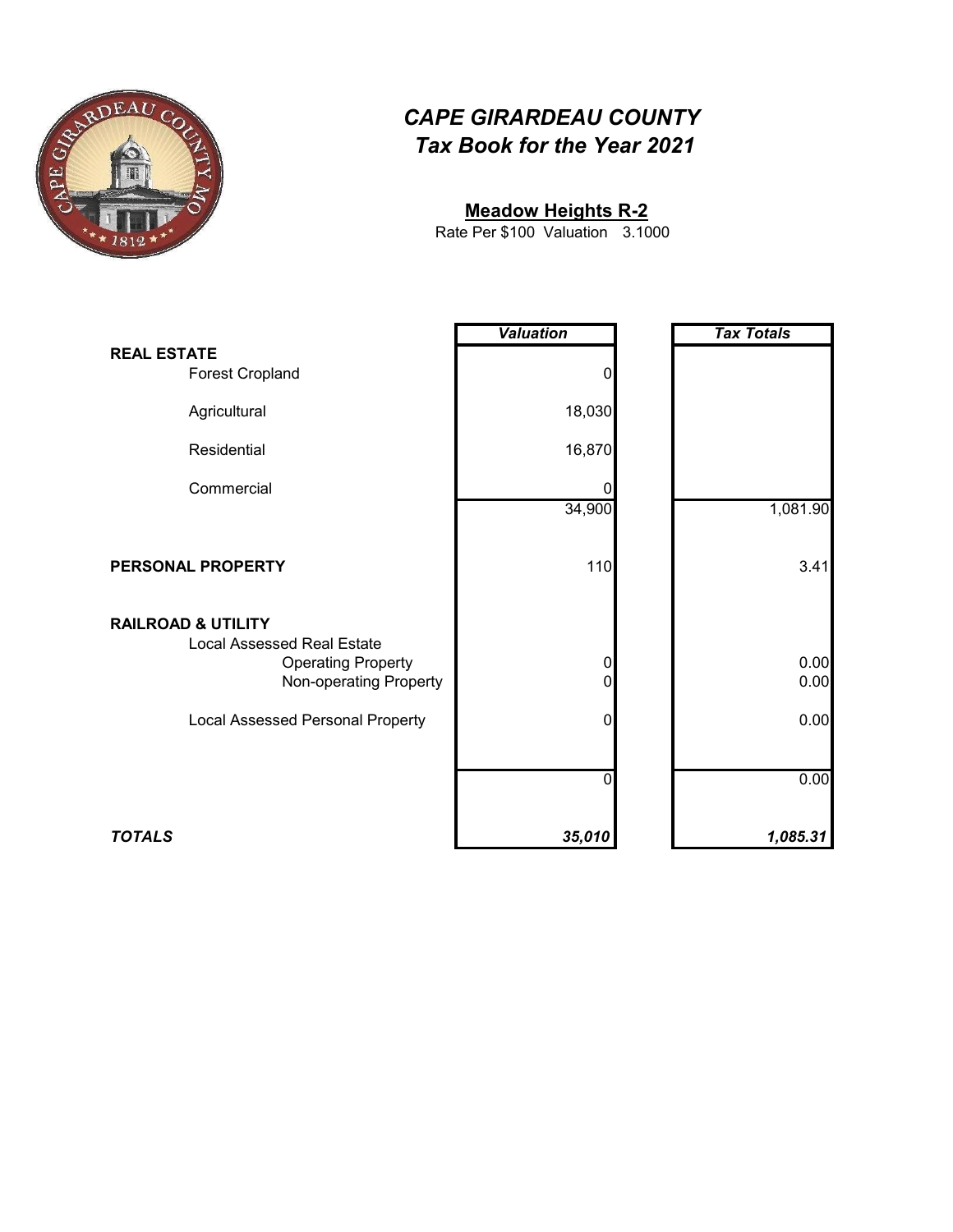

#### **Meadow Heights R-2**

3.1000 Rate Per \$100 Valuation

|                                                                                                                           | <b>Valuation</b>           | <b>Tax Totals</b> |
|---------------------------------------------------------------------------------------------------------------------------|----------------------------|-------------------|
| <b>REAL ESTATE</b><br><b>Forest Cropland</b>                                                                              | $\mathbf 0$                |                   |
| Agricultural                                                                                                              | 18,030                     |                   |
| Residential                                                                                                               | 16,870                     |                   |
| Commercial                                                                                                                | 0                          |                   |
|                                                                                                                           | 34,900                     | 1,081.90          |
| PERSONAL PROPERTY                                                                                                         | 110                        | 3.41              |
| <b>RAILROAD &amp; UTILITY</b><br><b>Local Assessed Real Estate</b><br><b>Operating Property</b><br>Non-operating Property | $\overline{0}$<br>$\Omega$ | 0.00<br>0.00      |
| <b>Local Assessed Personal Property</b>                                                                                   | $\overline{0}$             | 0.00              |
|                                                                                                                           | 0                          | 0.00              |
| <b>TOTALS</b>                                                                                                             | 35,010                     | 1,085.31          |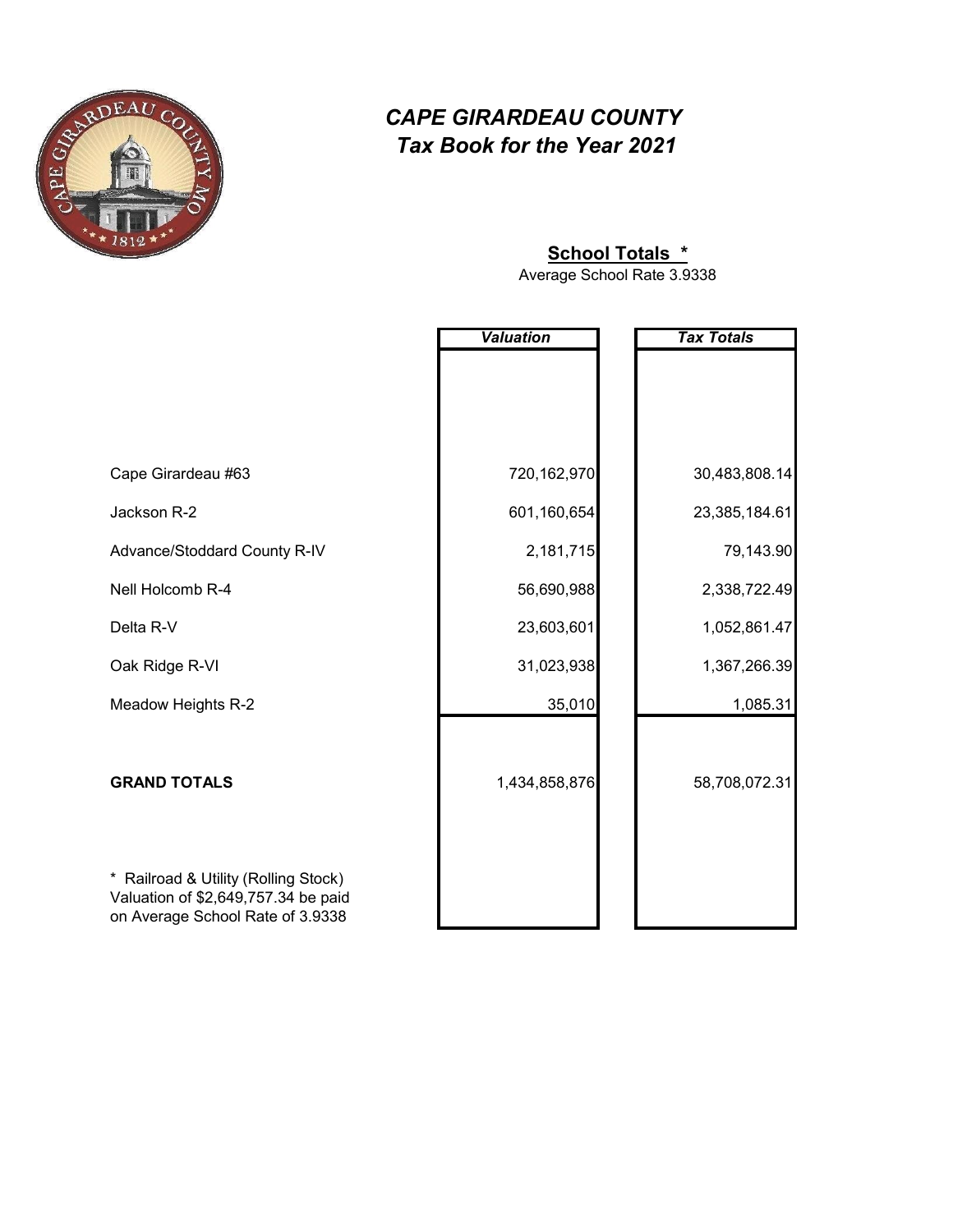

#### **School Totals \***

Average School Rate 3.9338

|                                                                                     | <b>Valuation</b> | <b>Tax Totals</b> |
|-------------------------------------------------------------------------------------|------------------|-------------------|
|                                                                                     |                  |                   |
|                                                                                     |                  |                   |
|                                                                                     |                  |                   |
| Cape Girardeau #63                                                                  | 720,162,970      | 30,483,808.14     |
| Jackson R-2                                                                         | 601,160,654      | 23,385,184.61     |
| Advance/Stoddard County R-IV                                                        | 2,181,715        | 79,143.90         |
| Nell Holcomb R-4                                                                    | 56,690,988       | 2,338,722.49      |
| Delta R-V                                                                           | 23,603,601       | 1,052,861.47      |
| Oak Ridge R-VI                                                                      | 31,023,938       | 1,367,266.39      |
| Meadow Heights R-2                                                                  | 35,010           | 1,085.31          |
|                                                                                     |                  |                   |
| <b>GRAND TOTALS</b>                                                                 | 1,434,858,876    | 58,708,072.31     |
|                                                                                     |                  |                   |
|                                                                                     |                  |                   |
| Railroad & Utility (Rolling Stock)<br>$\ast$<br>Valuation of \$2,649,757.34 be paid |                  |                   |
| on Average School Rate of 3.9338                                                    |                  |                   |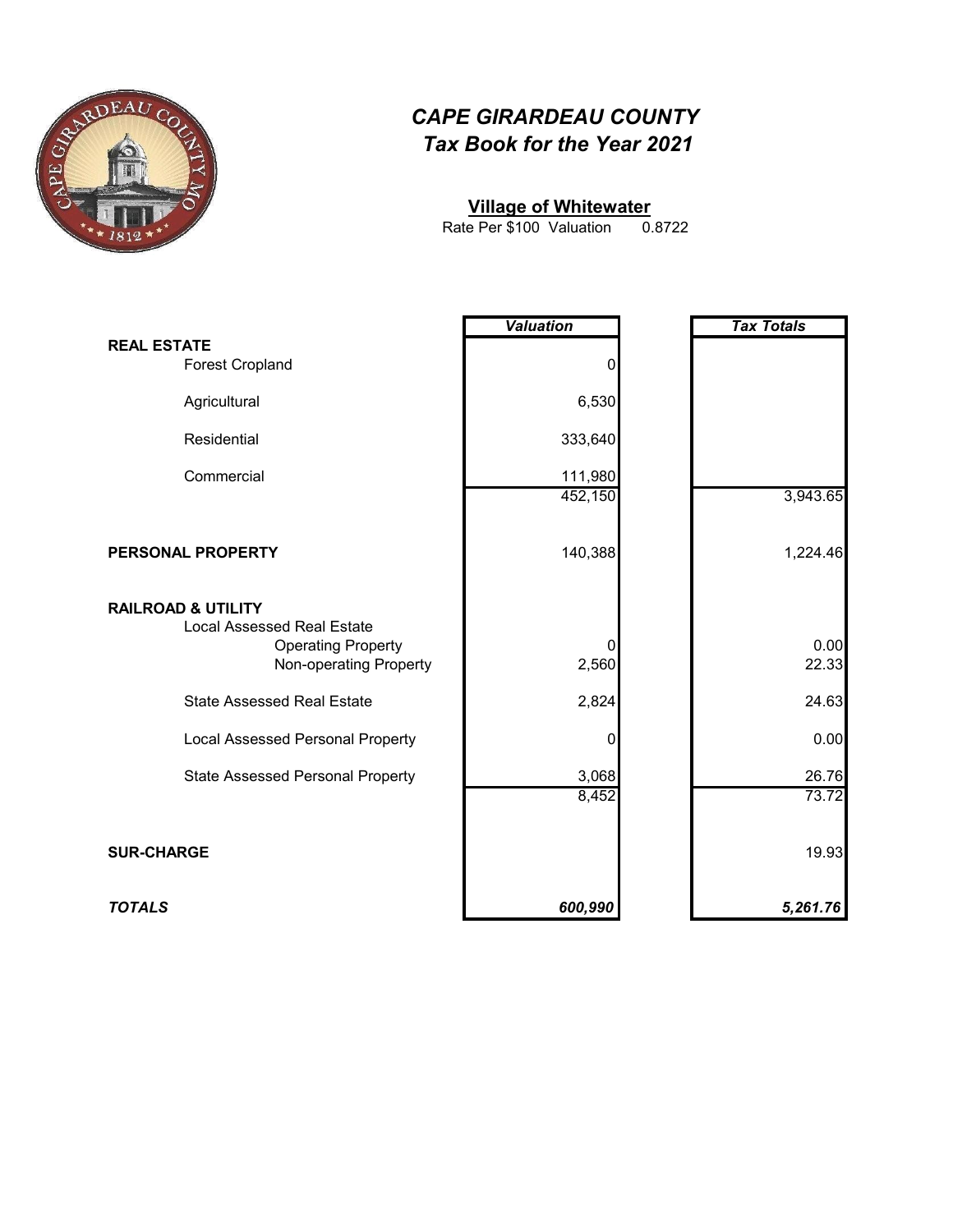

#### **Village of Whitewater**

0.8722 Rate Per \$100 Valuation

|                                                                                                 | <b>Valuation</b> | <b>Tax Totals</b> |
|-------------------------------------------------------------------------------------------------|------------------|-------------------|
| <b>REAL ESTATE</b><br><b>Forest Cropland</b>                                                    | 0                |                   |
| Agricultural                                                                                    | 6,530            |                   |
| Residential                                                                                     | 333,640          |                   |
| Commercial                                                                                      | 111,980          |                   |
|                                                                                                 | 452,150          | 3,943.65          |
| PERSONAL PROPERTY                                                                               | 140,388          | 1,224.46          |
| <b>RAILROAD &amp; UTILITY</b><br><b>Local Assessed Real Estate</b><br><b>Operating Property</b> | 0                | 0.00<br>22.33     |
| Non-operating Property                                                                          | 2,560            |                   |
| <b>State Assessed Real Estate</b>                                                               | 2,824            | 24.63             |
| <b>Local Assessed Personal Property</b>                                                         | 0                | 0.00              |
| <b>State Assessed Personal Property</b>                                                         | 3,068            | 26.76<br>73.72    |
|                                                                                                 | 8,452            |                   |
| <b>SUR-CHARGE</b>                                                                               |                  | 19.93             |
| <b>TOTALS</b>                                                                                   | 600,990          | 5,261.76          |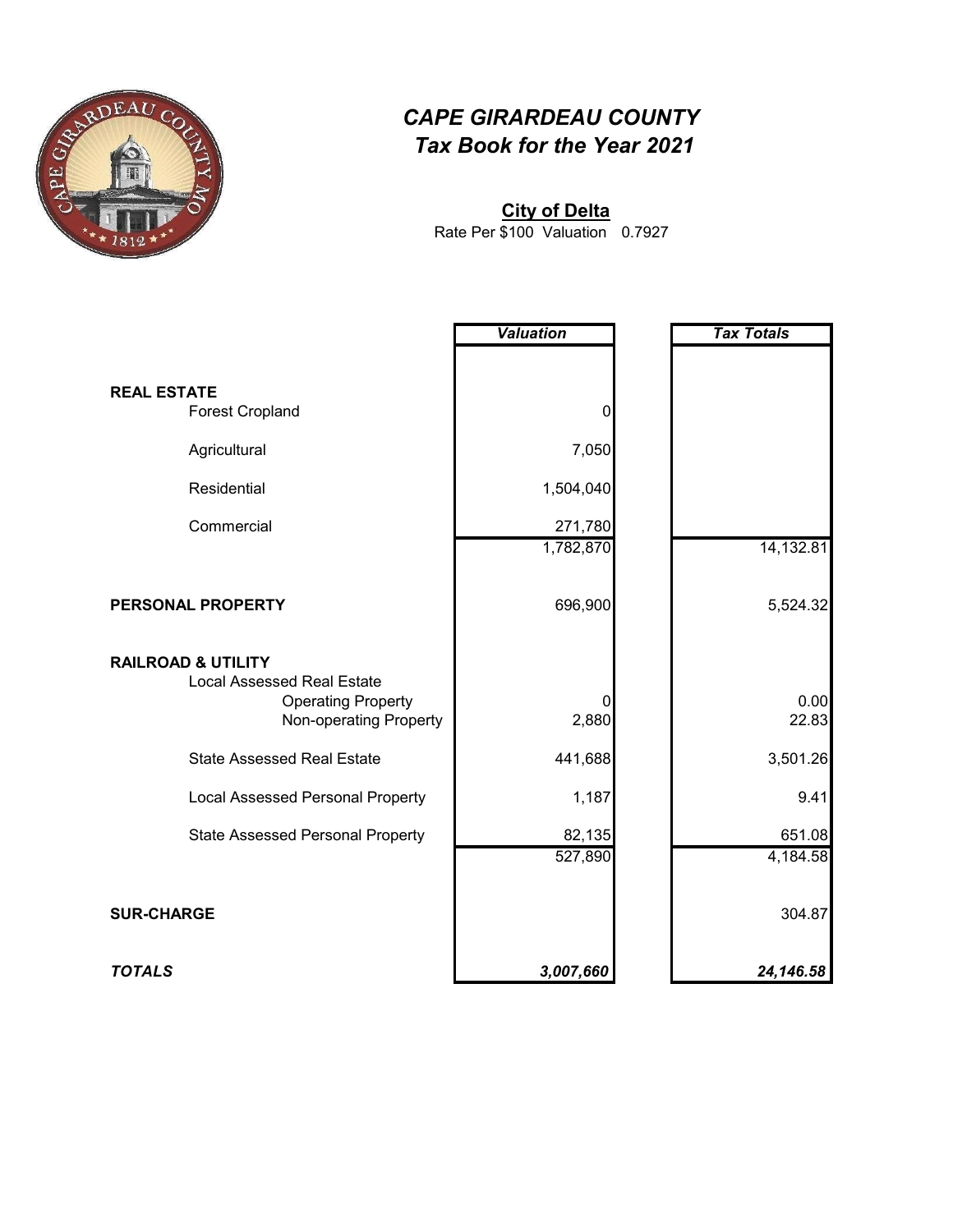

**City of Delta**

0.7927 Rate Per \$100 Valuation

|                                                                                                                           | <b>Valuation</b>  | <b>Tax Totals</b>  |
|---------------------------------------------------------------------------------------------------------------------------|-------------------|--------------------|
|                                                                                                                           |                   |                    |
| <b>REAL ESTATE</b><br><b>Forest Cropland</b>                                                                              | 0                 |                    |
| Agricultural                                                                                                              | 7,050             |                    |
| Residential                                                                                                               | 1,504,040         |                    |
| Commercial                                                                                                                | 271,780           |                    |
|                                                                                                                           | 1,782,870         | 14,132.81          |
| PERSONAL PROPERTY                                                                                                         | 696,900           | 5,524.32           |
| <b>RAILROAD &amp; UTILITY</b><br><b>Local Assessed Real Estate</b><br><b>Operating Property</b><br>Non-operating Property | 2,880             | 0.00<br>22.83      |
| <b>State Assessed Real Estate</b>                                                                                         | 441,688           | 3,501.26           |
| <b>Local Assessed Personal Property</b>                                                                                   | 1,187             | 9.41               |
| <b>State Assessed Personal Property</b>                                                                                   | 82,135<br>527,890 | 651.08<br>4,184.58 |
|                                                                                                                           |                   |                    |
| <b>SUR-CHARGE</b>                                                                                                         |                   | 304.87             |
| <b>TOTALS</b>                                                                                                             | 3,007,660         | 24,146.58          |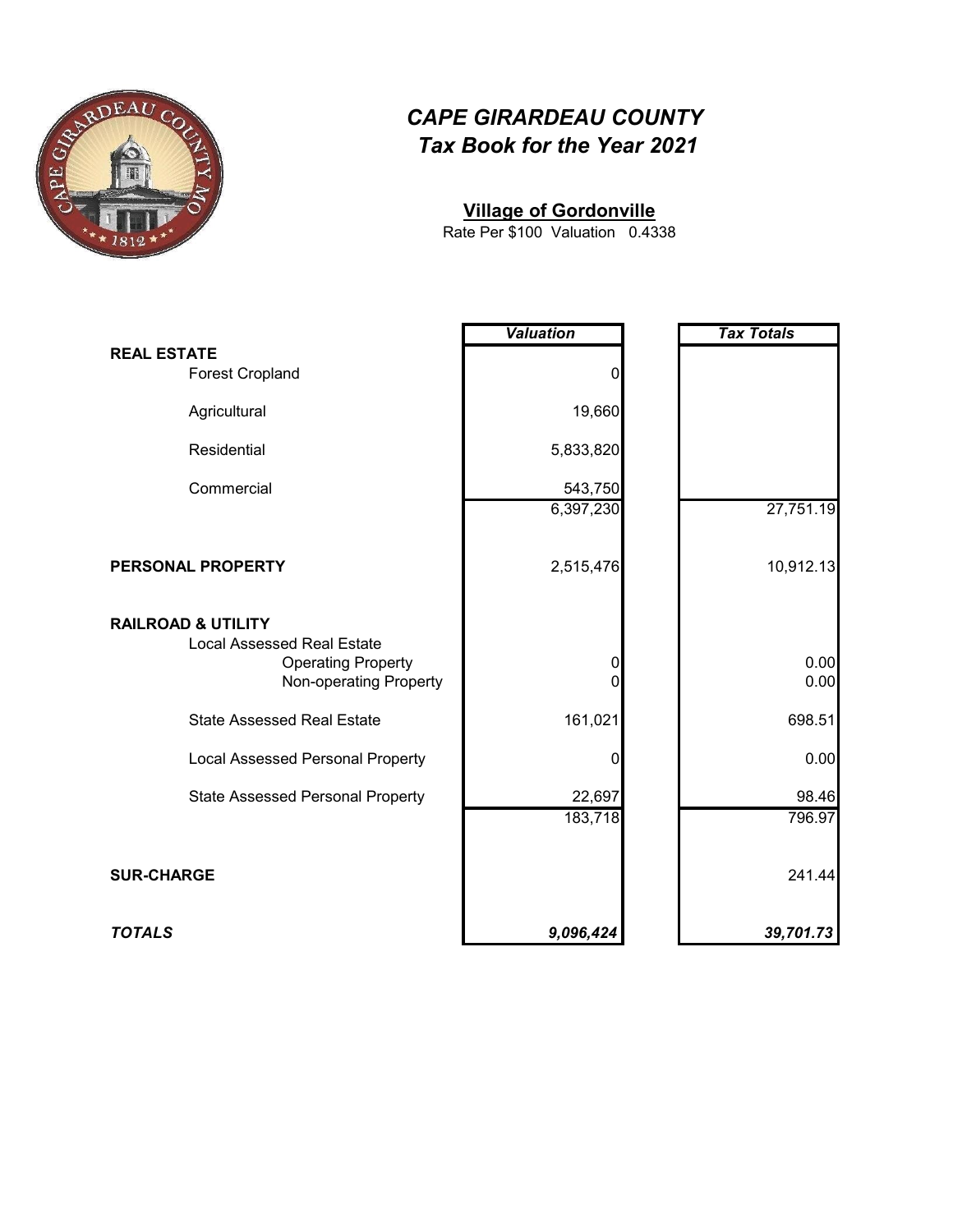

#### **Village of Gordonville**

0.4338 Rate Per \$100 Valuation

|                                                                                                                           | <b>Valuation</b>  | <b>Tax Totals</b> |
|---------------------------------------------------------------------------------------------------------------------------|-------------------|-------------------|
| <b>REAL ESTATE</b><br><b>Forest Cropland</b>                                                                              | 0                 |                   |
| Agricultural                                                                                                              | 19,660            |                   |
| Residential                                                                                                               | 5,833,820         |                   |
| Commercial                                                                                                                | 543,750           |                   |
|                                                                                                                           | 6,397,230         | 27,751.19         |
| PERSONAL PROPERTY                                                                                                         | 2,515,476         | 10,912.13         |
| <b>RAILROAD &amp; UTILITY</b><br><b>Local Assessed Real Estate</b><br><b>Operating Property</b><br>Non-operating Property | 0<br>0            | 0.00<br>0.00      |
| <b>State Assessed Real Estate</b>                                                                                         | 161,021           | 698.51            |
| <b>Local Assessed Personal Property</b>                                                                                   | 0                 | 0.00              |
| <b>State Assessed Personal Property</b>                                                                                   | 22,697<br>183,718 | 98.46<br>796.97   |
| <b>SUR-CHARGE</b>                                                                                                         |                   | 241.44            |
| <b>TOTALS</b>                                                                                                             | 9,096,424         | 39,701.73         |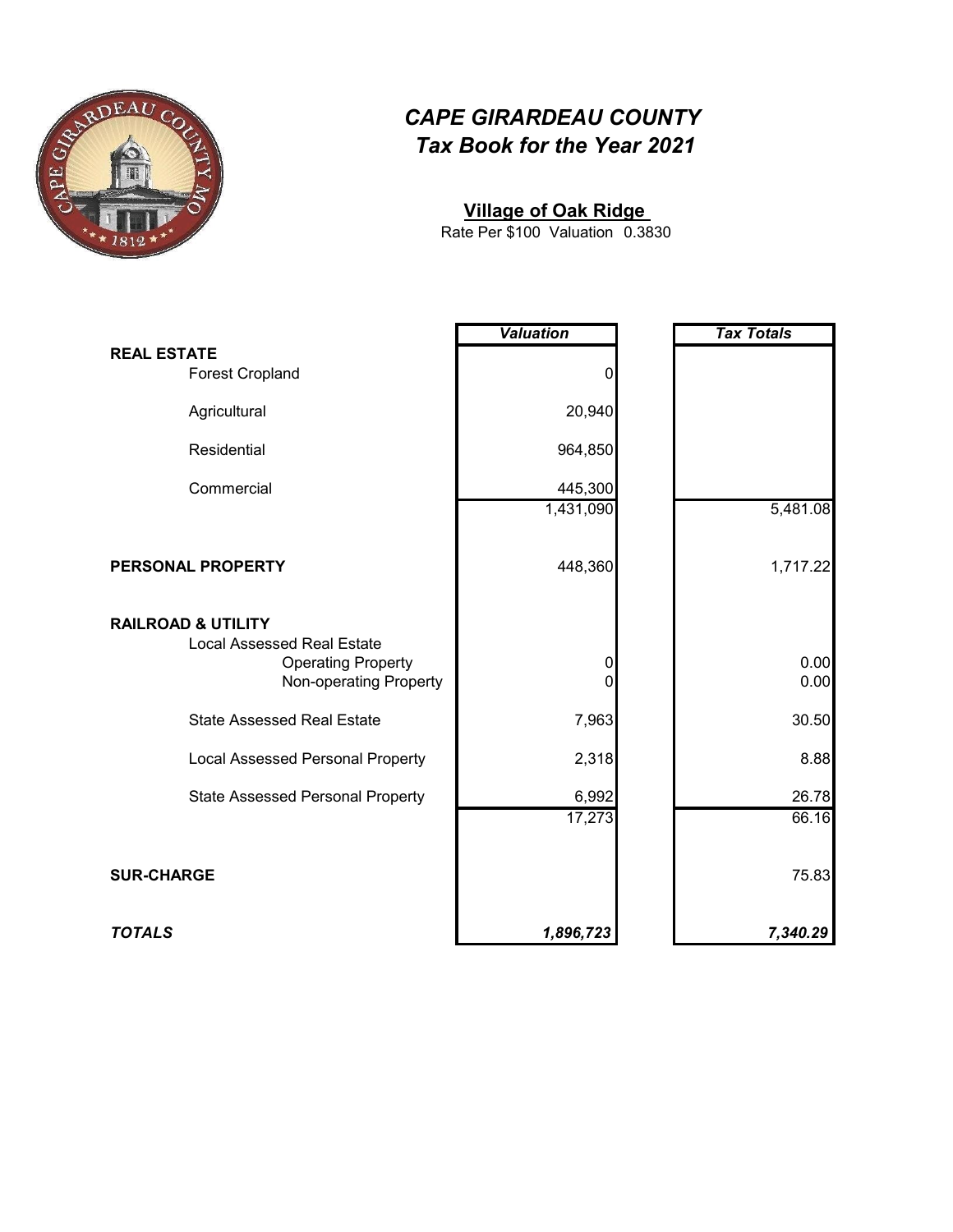

#### **Village of Oak Ridge**

0.3830 Rate Per \$100 Valuation

|                                                                                                                           | <b>Valuation</b> | <b>Tax Totals</b> |
|---------------------------------------------------------------------------------------------------------------------------|------------------|-------------------|
| <b>REAL ESTATE</b><br><b>Forest Cropland</b>                                                                              | 0                |                   |
| Agricultural                                                                                                              | 20,940           |                   |
| Residential                                                                                                               | 964,850          |                   |
| Commercial                                                                                                                | 445,300          |                   |
|                                                                                                                           | 1,431,090        | 5,481.08          |
| PERSONAL PROPERTY                                                                                                         | 448,360          | 1,717.22          |
| <b>RAILROAD &amp; UTILITY</b><br><b>Local Assessed Real Estate</b><br><b>Operating Property</b><br>Non-operating Property | 0<br>0           | 0.00<br>0.00      |
| <b>State Assessed Real Estate</b>                                                                                         | 7,963            | 30.50             |
| <b>Local Assessed Personal Property</b>                                                                                   | 2,318            | 8.88              |
| <b>State Assessed Personal Property</b>                                                                                   | 6,992            | 26.78<br>66.16    |
|                                                                                                                           | 17,273           |                   |
| <b>SUR-CHARGE</b>                                                                                                         |                  | 75.83             |
| <b>TOTALS</b>                                                                                                             | 1,896,723        | 7,340.29          |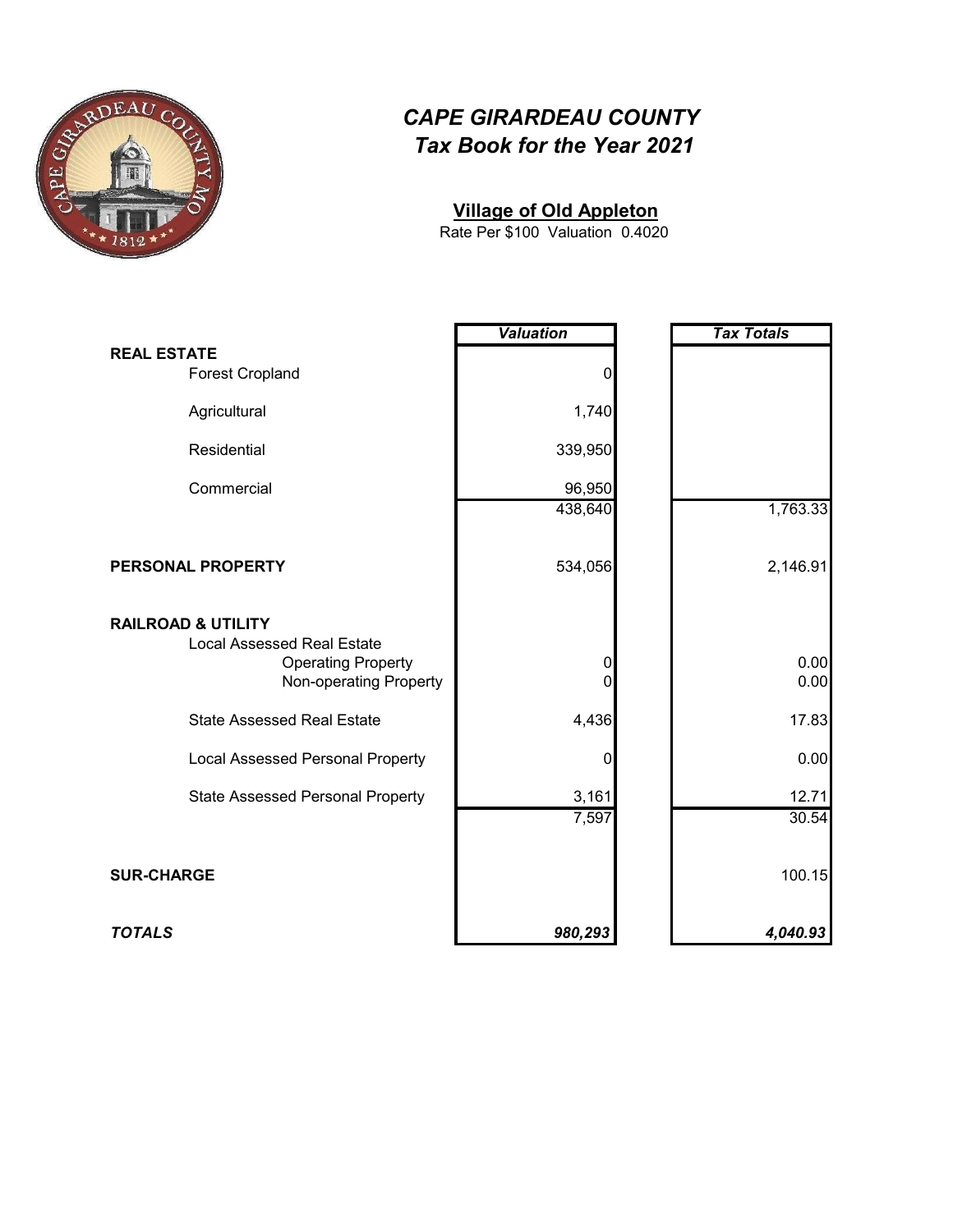

#### **Village of Old Appleton**

0.4020 Rate Per \$100 Valuation

|                                                                                                                           | <b>Valuation</b> | <b>Tax Totals</b> |
|---------------------------------------------------------------------------------------------------------------------------|------------------|-------------------|
| <b>REAL ESTATE</b><br><b>Forest Cropland</b>                                                                              | 0                |                   |
| Agricultural                                                                                                              | 1,740            |                   |
| Residential                                                                                                               | 339,950          |                   |
| Commercial                                                                                                                | 96,950           |                   |
|                                                                                                                           | 438,640          | 1,763.33          |
| PERSONAL PROPERTY                                                                                                         | 534,056          | 2,146.91          |
| <b>RAILROAD &amp; UTILITY</b><br><b>Local Assessed Real Estate</b><br><b>Operating Property</b><br>Non-operating Property | 0<br>O           | 0.00<br>0.00      |
| <b>State Assessed Real Estate</b>                                                                                         | 4,436            | 17.83             |
| <b>Local Assessed Personal Property</b>                                                                                   | 0                | 0.00              |
| <b>State Assessed Personal Property</b>                                                                                   | 3,161            | 12.71             |
|                                                                                                                           | 7,597            | 30.54             |
| <b>SUR-CHARGE</b>                                                                                                         |                  | 100.15            |
| <b>TOTALS</b>                                                                                                             | 980,293          | 4,040.93          |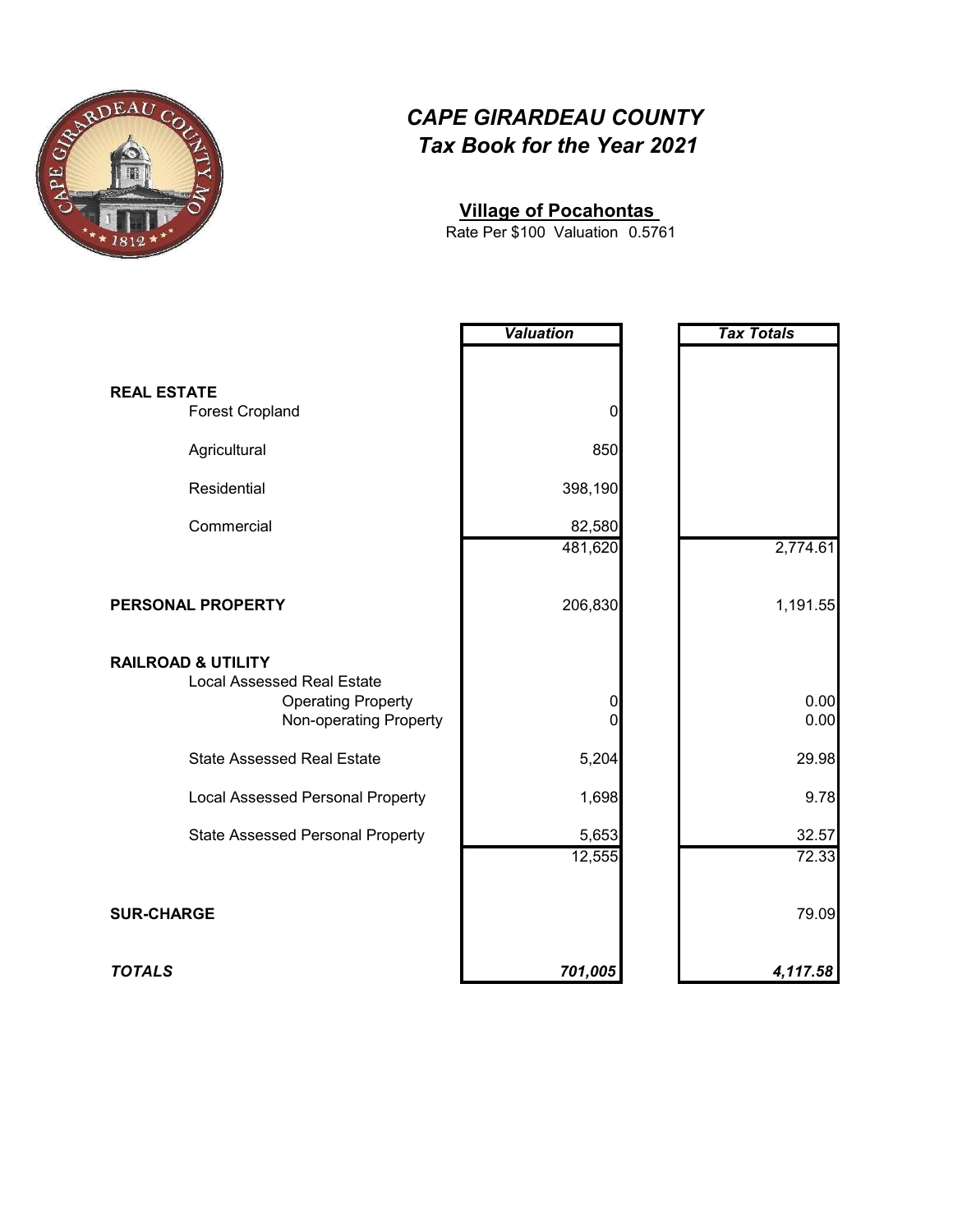

#### **Village of Pocahontas**

0.5761 Rate Per \$100 Valuation

|                                                                                                                           | <b>Valuation</b> | <b>Tax Totals</b> |
|---------------------------------------------------------------------------------------------------------------------------|------------------|-------------------|
|                                                                                                                           |                  |                   |
| <b>REAL ESTATE</b><br><b>Forest Cropland</b>                                                                              | 0                |                   |
| Agricultural                                                                                                              | 850              |                   |
| Residential                                                                                                               | 398,190          |                   |
| Commercial                                                                                                                | 82,580           |                   |
|                                                                                                                           | 481,620          | 2,774.61          |
| PERSONAL PROPERTY                                                                                                         | 206,830          | 1,191.55          |
| <b>RAILROAD &amp; UTILITY</b><br><b>Local Assessed Real Estate</b><br><b>Operating Property</b><br>Non-operating Property | 0<br>0           | 0.00<br>0.00      |
| <b>State Assessed Real Estate</b>                                                                                         | 5,204            | 29.98             |
| <b>Local Assessed Personal Property</b>                                                                                   | 1,698            | 9.78              |
| <b>State Assessed Personal Property</b>                                                                                   | 5,653            | 32.57             |
|                                                                                                                           | 12,555           | 72.33             |
| <b>SUR-CHARGE</b>                                                                                                         |                  | 79.09             |
| <b>TOTALS</b>                                                                                                             | 701,005          | 4,117.58          |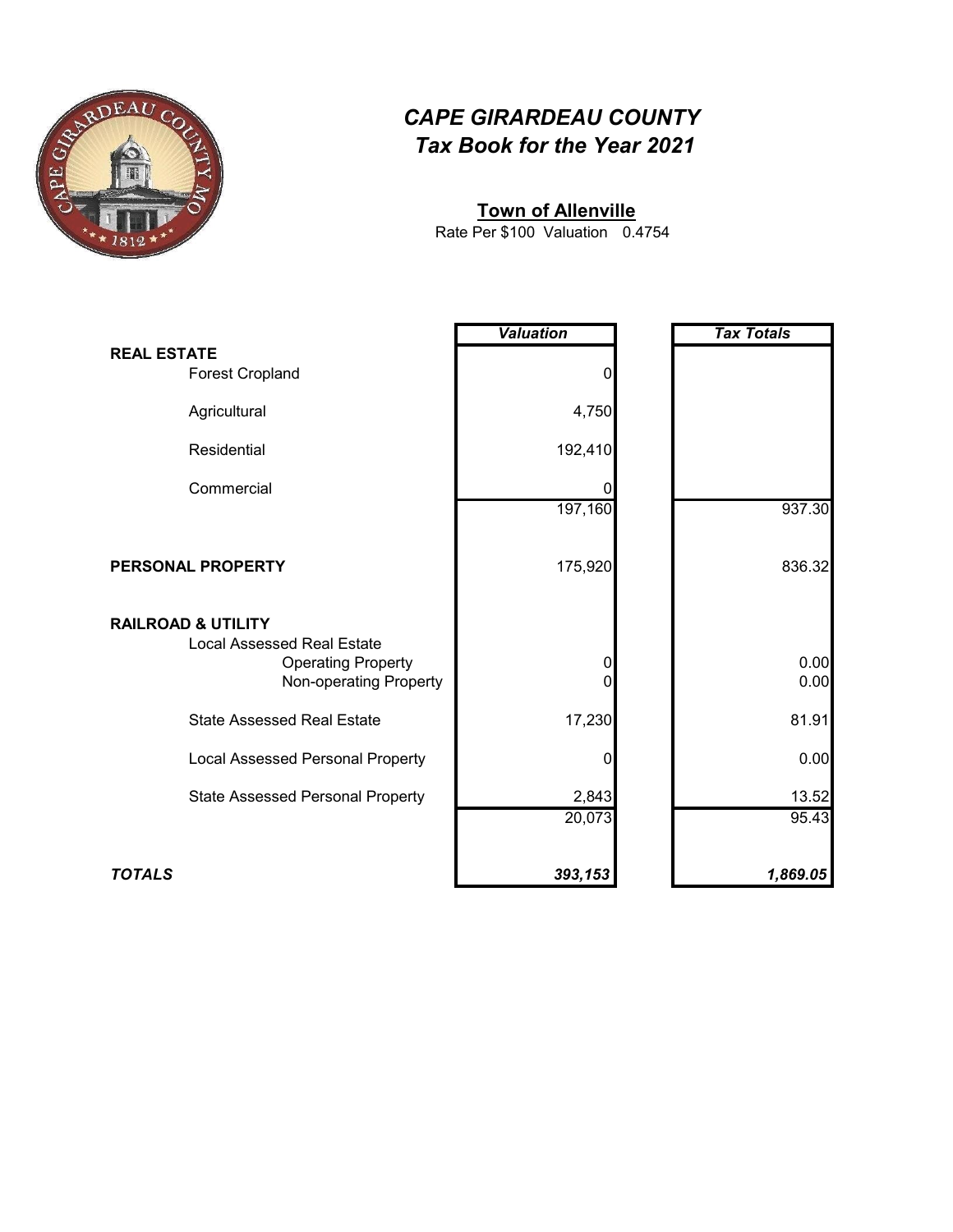

#### **Town of Allenville**

0.4754 Rate Per \$100 Valuation

|                                                                                                                           | <b>Valuation</b> | <b>Tax Totals</b> |
|---------------------------------------------------------------------------------------------------------------------------|------------------|-------------------|
| <b>REAL ESTATE</b><br><b>Forest Cropland</b>                                                                              | 0                |                   |
| Agricultural                                                                                                              | 4,750            |                   |
| Residential                                                                                                               | 192,410          |                   |
| Commercial                                                                                                                | Ω                |                   |
|                                                                                                                           | 197,160          | 937.30            |
| PERSONAL PROPERTY                                                                                                         | 175,920          | 836.32            |
| <b>RAILROAD &amp; UTILITY</b><br><b>Local Assessed Real Estate</b><br><b>Operating Property</b><br>Non-operating Property | 0<br>0           | 0.00<br>0.00      |
| <b>State Assessed Real Estate</b>                                                                                         | 17,230           | 81.91             |
| Local Assessed Personal Property                                                                                          | 0                | 0.00              |
| <b>State Assessed Personal Property</b>                                                                                   | 2,843<br>20,073  | 13.52<br>95.43    |
|                                                                                                                           |                  |                   |
| <b>TOTALS</b>                                                                                                             | 393,153          | 1,869.05          |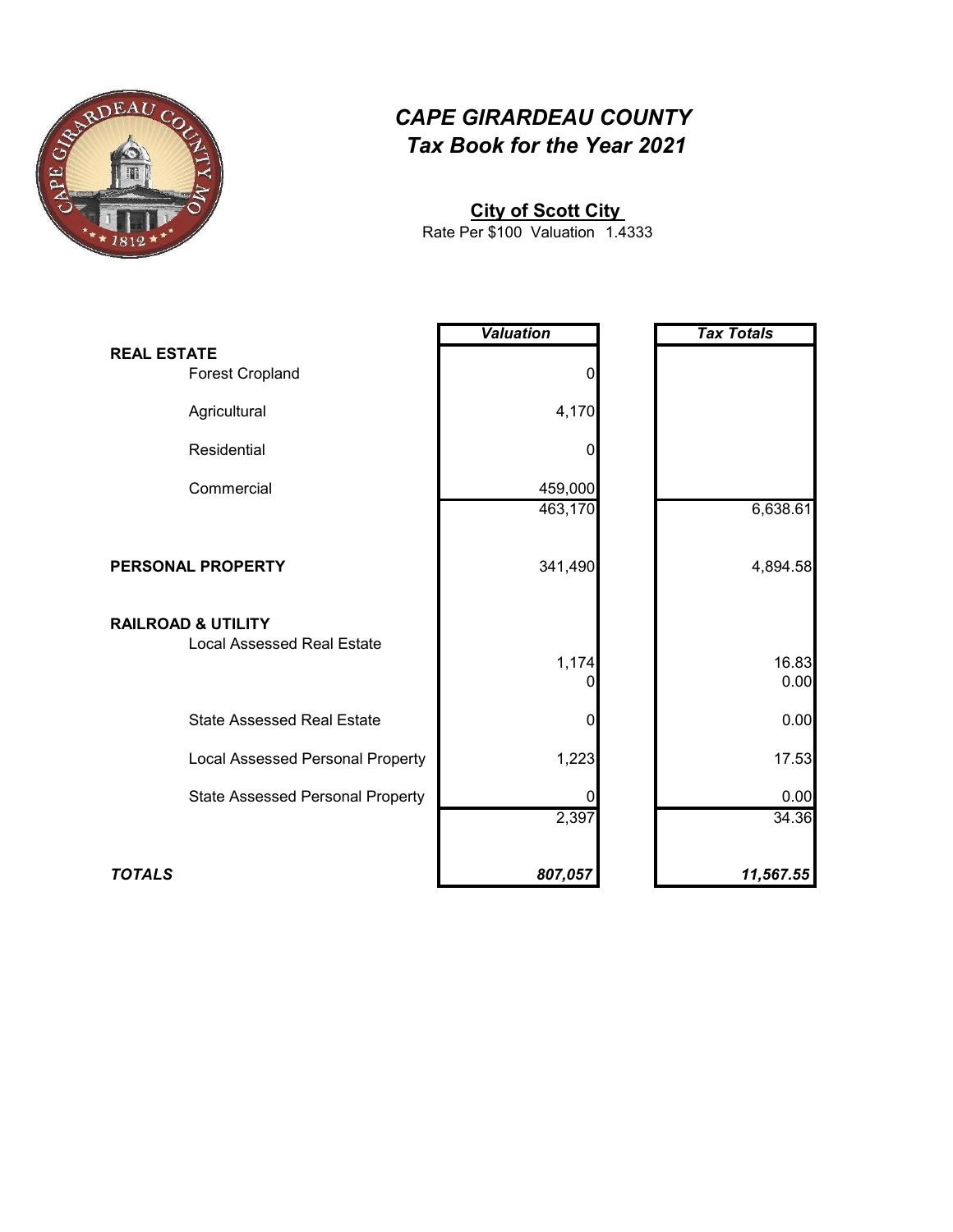

#### **City of Scott City**

1.4333 Rate Per \$100 Valuation

|                                              | <b>Valuation</b> | <b>Tax Totals</b> |
|----------------------------------------------|------------------|-------------------|
|                                              |                  |                   |
| <b>REAL ESTATE</b><br><b>Forest Cropland</b> | 0                |                   |
| Agricultural                                 | 4,170            |                   |
| Residential                                  | 0                |                   |
| Commercial                                   | 459,000          |                   |
|                                              | 463,170          | 6,638.61          |
| PERSONAL PROPERTY                            | 341,490          | 4,894.58          |
| <b>RAILROAD &amp; UTILITY</b>                |                  |                   |
| <b>Local Assessed Real Estate</b>            | 1,174<br>0       | 16.83<br>0.00     |
| <b>State Assessed Real Estate</b>            | 0                | 0.00              |
| Local Assessed Personal Property             | 1,223            | 17.53             |
| <b>State Assessed Personal Property</b>      |                  | 0.00              |
|                                              | 2,397            | 34.36             |
| <b>TOTALS</b>                                | 807,057          | 11,567.55         |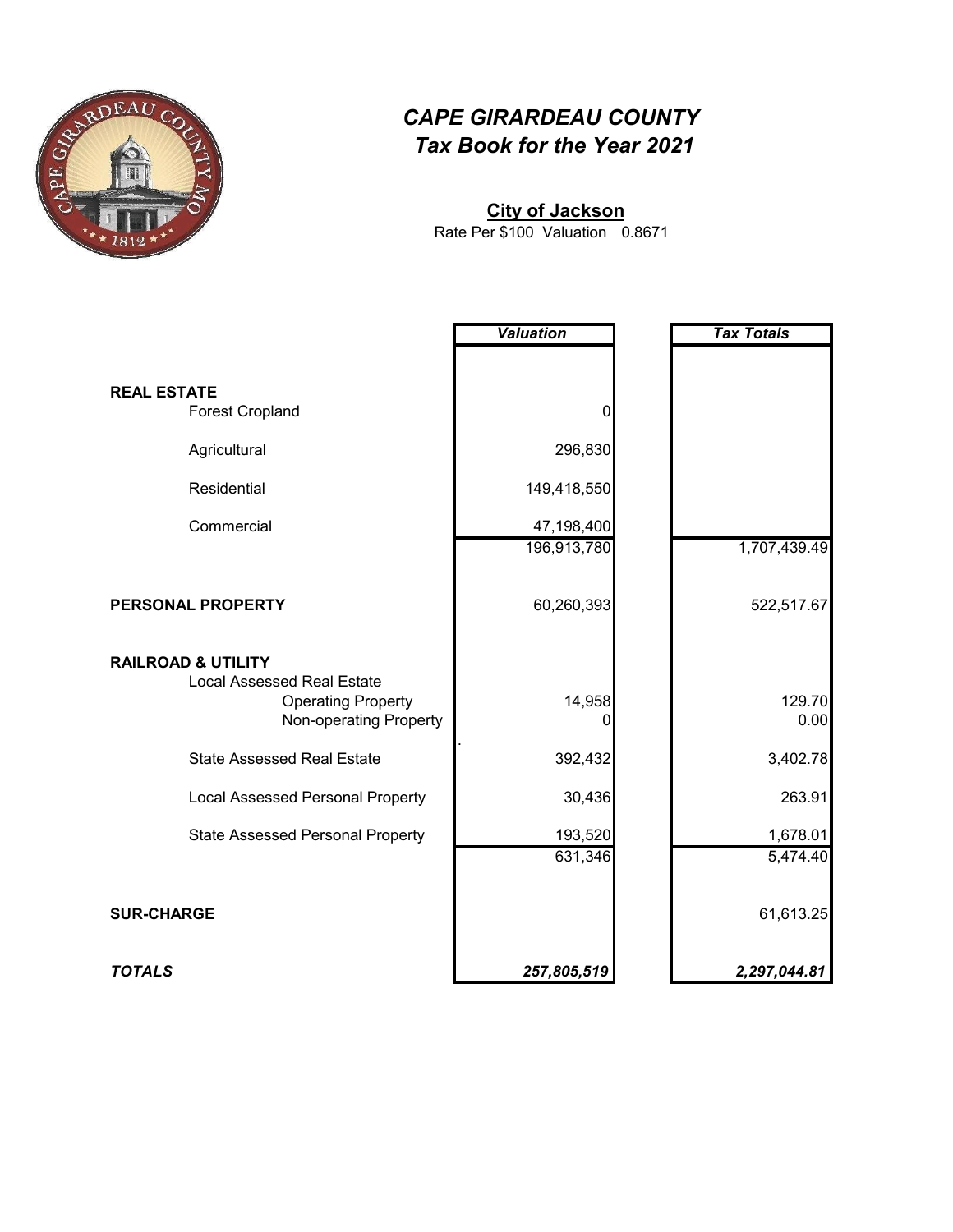

# **City of Jackson**

0.8671 Rate Per \$100 Valuation

|                                                                                                                           | <b>Valuation</b> | <b>Tax Totals</b> |
|---------------------------------------------------------------------------------------------------------------------------|------------------|-------------------|
|                                                                                                                           |                  |                   |
| <b>REAL ESTATE</b><br><b>Forest Cropland</b>                                                                              | 0                |                   |
| Agricultural                                                                                                              | 296,830          |                   |
| Residential                                                                                                               | 149,418,550      |                   |
| Commercial                                                                                                                | 47,198,400       |                   |
|                                                                                                                           | 196,913,780      | 1,707,439.49      |
| PERSONAL PROPERTY                                                                                                         | 60,260,393       | 522,517.67        |
| <b>RAILROAD &amp; UTILITY</b><br><b>Local Assessed Real Estate</b><br><b>Operating Property</b><br>Non-operating Property | 14,958           | 129.70<br>0.00    |
| <b>State Assessed Real Estate</b>                                                                                         | 392,432          | 3,402.78          |
| <b>Local Assessed Personal Property</b>                                                                                   | 30,436           | 263.91            |
| <b>State Assessed Personal Property</b>                                                                                   | 193,520          | 1,678.01          |
|                                                                                                                           | 631,346          | 5,474.40          |
| <b>SUR-CHARGE</b>                                                                                                         |                  | 61,613.25         |
| <b>TOTALS</b>                                                                                                             | 257,805,519      | 2,297,044.81      |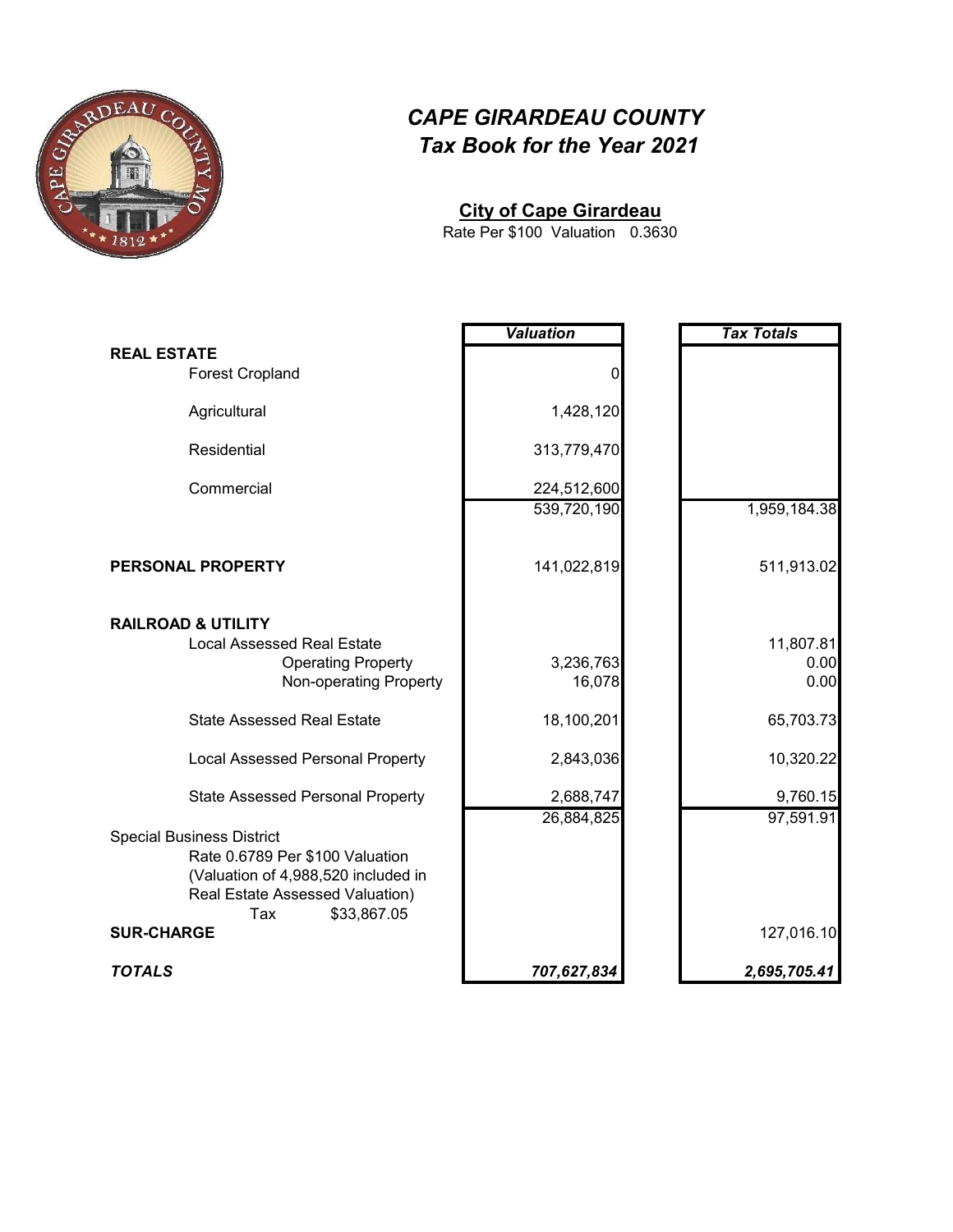

#### **City of Cape Girardeau**

0.3630 Rate Per \$100 Valuation

|                                                     | <b>Valuation</b> | <b>Tax Totals</b> |
|-----------------------------------------------------|------------------|-------------------|
| <b>REAL ESTATE</b>                                  |                  |                   |
| <b>Forest Cropland</b>                              | 0                |                   |
| Agricultural                                        | 1,428,120        |                   |
| Residential                                         | 313,779,470      |                   |
| Commercial                                          | 224,512,600      |                   |
|                                                     | 539,720,190      | 1,959,184.38      |
| PERSONAL PROPERTY                                   | 141,022,819      | 511,913.02        |
| <b>RAILROAD &amp; UTILITY</b>                       |                  |                   |
| <b>Local Assessed Real Estate</b>                   | 3,236,763        | 11,807.81<br>0.00 |
| <b>Operating Property</b><br>Non-operating Property | 16,078           | 0.00              |
| <b>State Assessed Real Estate</b>                   | 18,100,201       | 65,703.73         |
| <b>Local Assessed Personal Property</b>             | 2,843,036        | 10,320.22         |
| <b>State Assessed Personal Property</b>             | 2,688,747        | 9,760.15          |
| <b>Special Business District</b>                    | 26,884,825       | 97,591.91         |
| Rate 0.6789 Per \$100 Valuation                     |                  |                   |
| (Valuation of 4,988,520 included in                 |                  |                   |
| Real Estate Assessed Valuation)                     |                  |                   |
| Tax<br>\$33,867.05<br><b>SUR-CHARGE</b>             |                  | 127,016.10        |
| <b>TOTALS</b>                                       | 707,627,834      | 2,695,705.41      |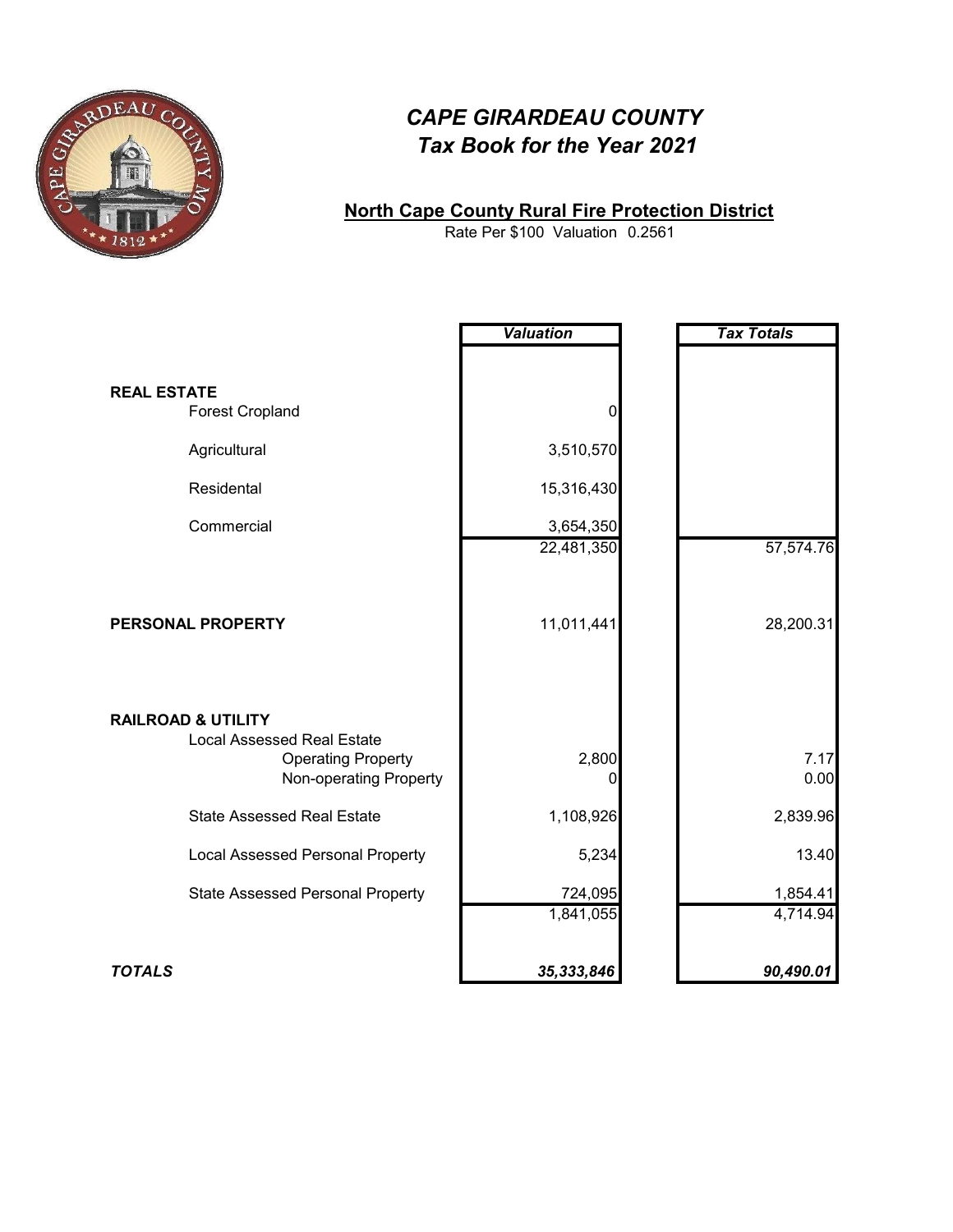

#### **North Cape County Rural Fire Protection District**

0.2561 Rate Per \$100 Valuation

|                                                     | <b>Valuation</b> | <b>Tax Totals</b> |
|-----------------------------------------------------|------------------|-------------------|
|                                                     |                  |                   |
| <b>REAL ESTATE</b>                                  |                  |                   |
| <b>Forest Cropland</b>                              | 0                |                   |
| Agricultural                                        | 3,510,570        |                   |
| Residental                                          | 15,316,430       |                   |
| Commercial                                          | 3,654,350        |                   |
|                                                     | 22,481,350       | 57,574.76         |
|                                                     |                  |                   |
|                                                     |                  |                   |
| PERSONAL PROPERTY                                   | 11,011,441       | 28,200.31         |
|                                                     |                  |                   |
|                                                     |                  |                   |
| <b>RAILROAD &amp; UTILITY</b>                       |                  |                   |
| <b>Local Assessed Real Estate</b>                   |                  |                   |
| <b>Operating Property</b><br>Non-operating Property | 2,800<br>0       | 7.17<br>0.00      |
|                                                     |                  |                   |
| <b>State Assessed Real Estate</b>                   | 1,108,926        | 2,839.96          |
| <b>Local Assessed Personal Property</b>             | 5,234            | 13.40             |
| <b>State Assessed Personal Property</b>             | 724,095          | 1,854.41          |
|                                                     | 1,841,055        | 4,714.94          |
|                                                     |                  |                   |
| <b>TOTALS</b>                                       | 35,333,846       | 90,490.01         |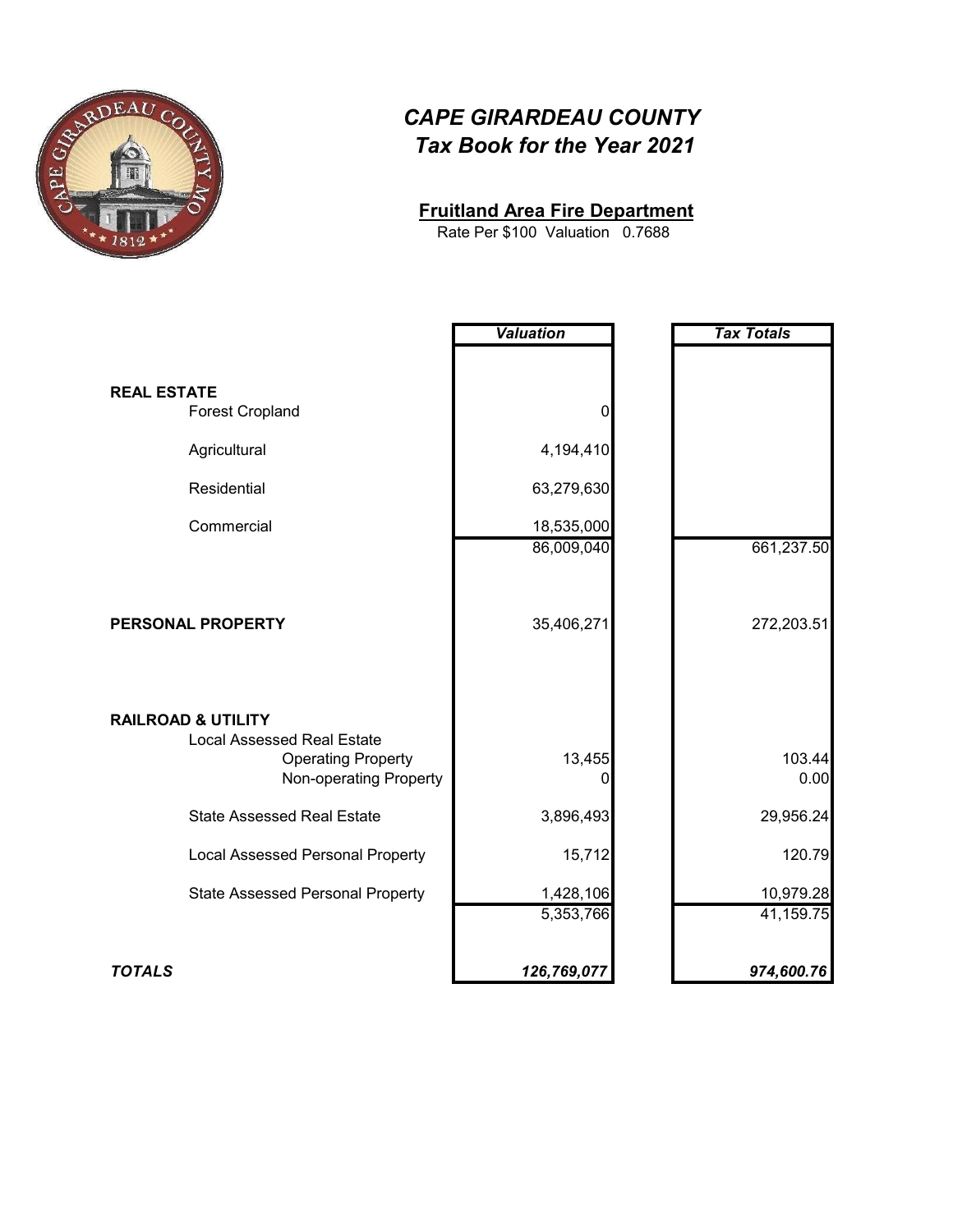

#### **Fruitland Area Fire Department**

0.7688 Rate Per \$100 Valuation

|                                         | <b>Valuation</b> | <b>Tax Totals</b> |
|-----------------------------------------|------------------|-------------------|
|                                         |                  |                   |
| <b>REAL ESTATE</b>                      |                  |                   |
| <b>Forest Cropland</b>                  | 0                |                   |
| Agricultural                            | 4,194,410        |                   |
| Residential                             | 63,279,630       |                   |
| Commercial                              | 18,535,000       |                   |
|                                         | 86,009,040       | 661,237.50        |
|                                         |                  |                   |
|                                         |                  |                   |
| PERSONAL PROPERTY                       | 35,406,271       | 272,203.51        |
|                                         |                  |                   |
|                                         |                  |                   |
| <b>RAILROAD &amp; UTILITY</b>           |                  |                   |
| <b>Local Assessed Real Estate</b>       |                  |                   |
| <b>Operating Property</b>               | 13,455           | 103.44            |
| Non-operating Property                  | 0                | 0.00              |
| <b>State Assessed Real Estate</b>       | 3,896,493        | 29,956.24         |
| <b>Local Assessed Personal Property</b> | 15,712           | 120.79            |
| <b>State Assessed Personal Property</b> | 1,428,106        | 10,979.28         |
|                                         | 5,353,766        | 41,159.75         |
|                                         |                  |                   |
| <b>TOTALS</b>                           | 126,769,077      | 974,600.76        |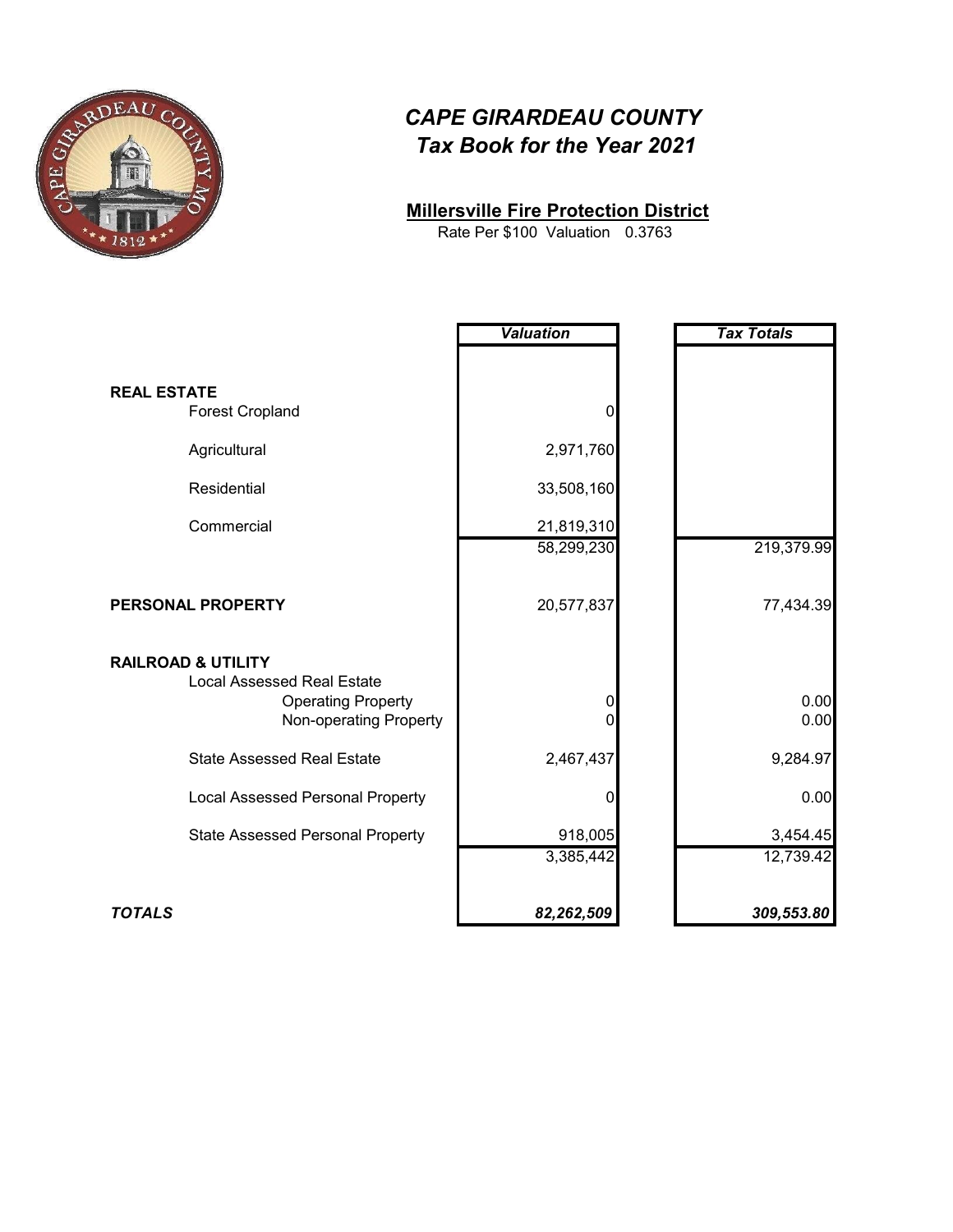

#### **Millersville Fire Protection District**

0.3763 Rate Per \$100 Valuation

|                                                                    | <b>Valuation</b> | <b>Tax Totals</b> |
|--------------------------------------------------------------------|------------------|-------------------|
|                                                                    |                  |                   |
| <b>REAL ESTATE</b>                                                 |                  |                   |
| <b>Forest Cropland</b>                                             | 0                |                   |
| Agricultural                                                       | 2,971,760        |                   |
| Residential                                                        | 33,508,160       |                   |
| Commercial                                                         | 21,819,310       |                   |
|                                                                    | 58,299,230       | 219,379.99        |
| PERSONAL PROPERTY                                                  | 20,577,837       | 77,434.39         |
| <b>RAILROAD &amp; UTILITY</b><br><b>Local Assessed Real Estate</b> |                  |                   |
| <b>Operating Property</b><br>Non-operating Property                | $\pmb{0}$<br>O   | 0.00<br>0.00      |
| <b>State Assessed Real Estate</b>                                  | 2,467,437        | 9,284.97          |
| <b>Local Assessed Personal Property</b>                            | 0                | 0.00              |
| <b>State Assessed Personal Property</b>                            | 918,005          | 3,454.45          |
|                                                                    | 3,385,442        | 12,739.42         |
| <b>TOTALS</b>                                                      | 82,262,509       | 309,553.80        |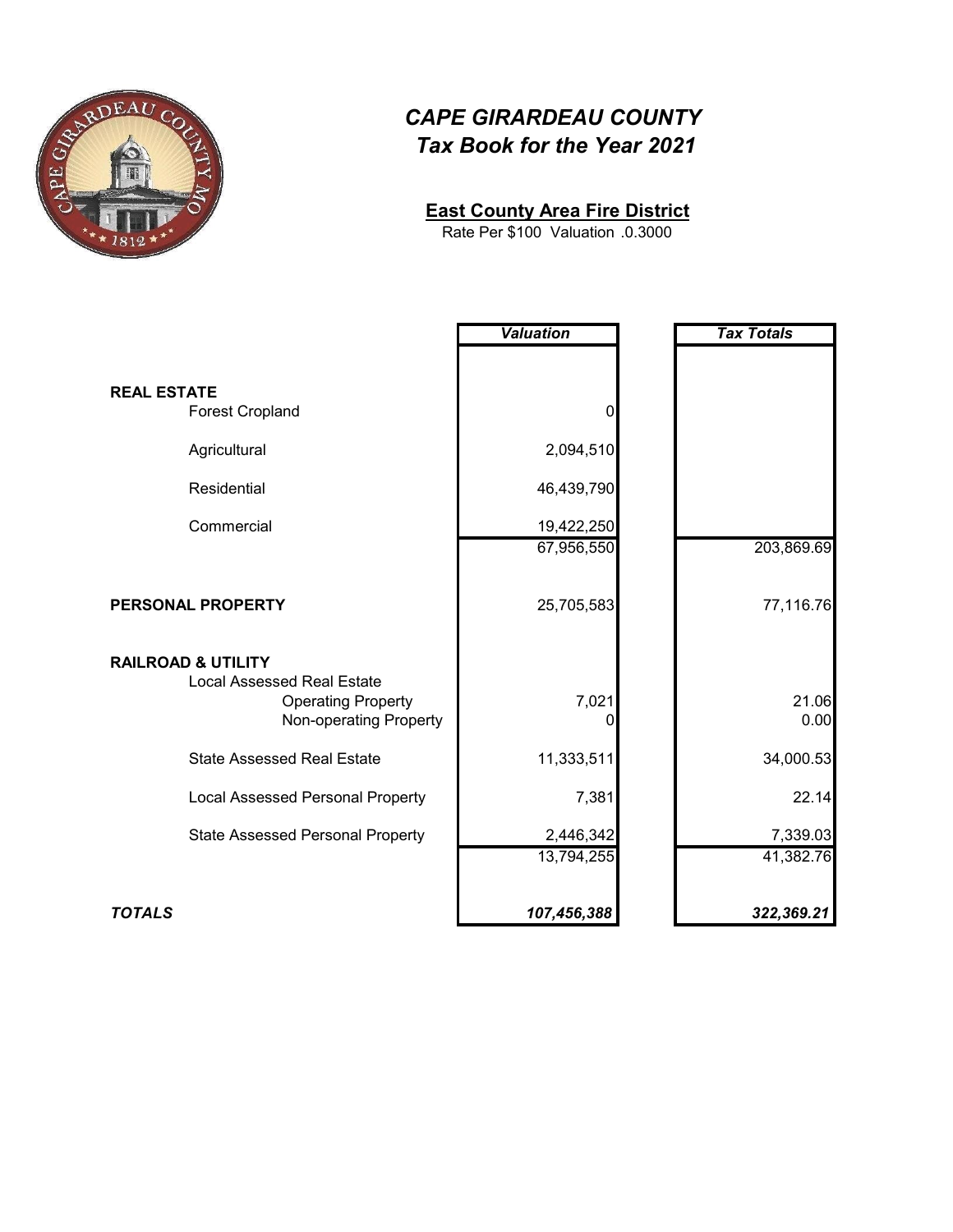

#### **East County Area Fire District**

.0.3000 Rate Per \$100 Valuation

|                                                                    | <b>Valuation</b> | <b>Tax Totals</b> |
|--------------------------------------------------------------------|------------------|-------------------|
|                                                                    |                  |                   |
| <b>REAL ESTATE</b>                                                 |                  |                   |
| <b>Forest Cropland</b>                                             | $\mathbf 0$      |                   |
| Agricultural                                                       | 2,094,510        |                   |
| Residential                                                        | 46,439,790       |                   |
| Commercial                                                         | 19,422,250       |                   |
|                                                                    | 67,956,550       | 203,869.69        |
|                                                                    |                  |                   |
| PERSONAL PROPERTY                                                  | 25,705,583       | 77,116.76         |
| <b>RAILROAD &amp; UTILITY</b><br><b>Local Assessed Real Estate</b> |                  |                   |
| <b>Operating Property</b><br>Non-operating Property                | 7,021<br>0       | 21.06<br>0.00     |
| <b>State Assessed Real Estate</b>                                  | 11,333,511       | 34,000.53         |
| <b>Local Assessed Personal Property</b>                            | 7,381            | 22.14             |
| <b>State Assessed Personal Property</b>                            | 2,446,342        | 7,339.03          |
|                                                                    | 13,794,255       | 41,382.76         |
| <b>TOTALS</b>                                                      | 107,456,388      | 322,369.21        |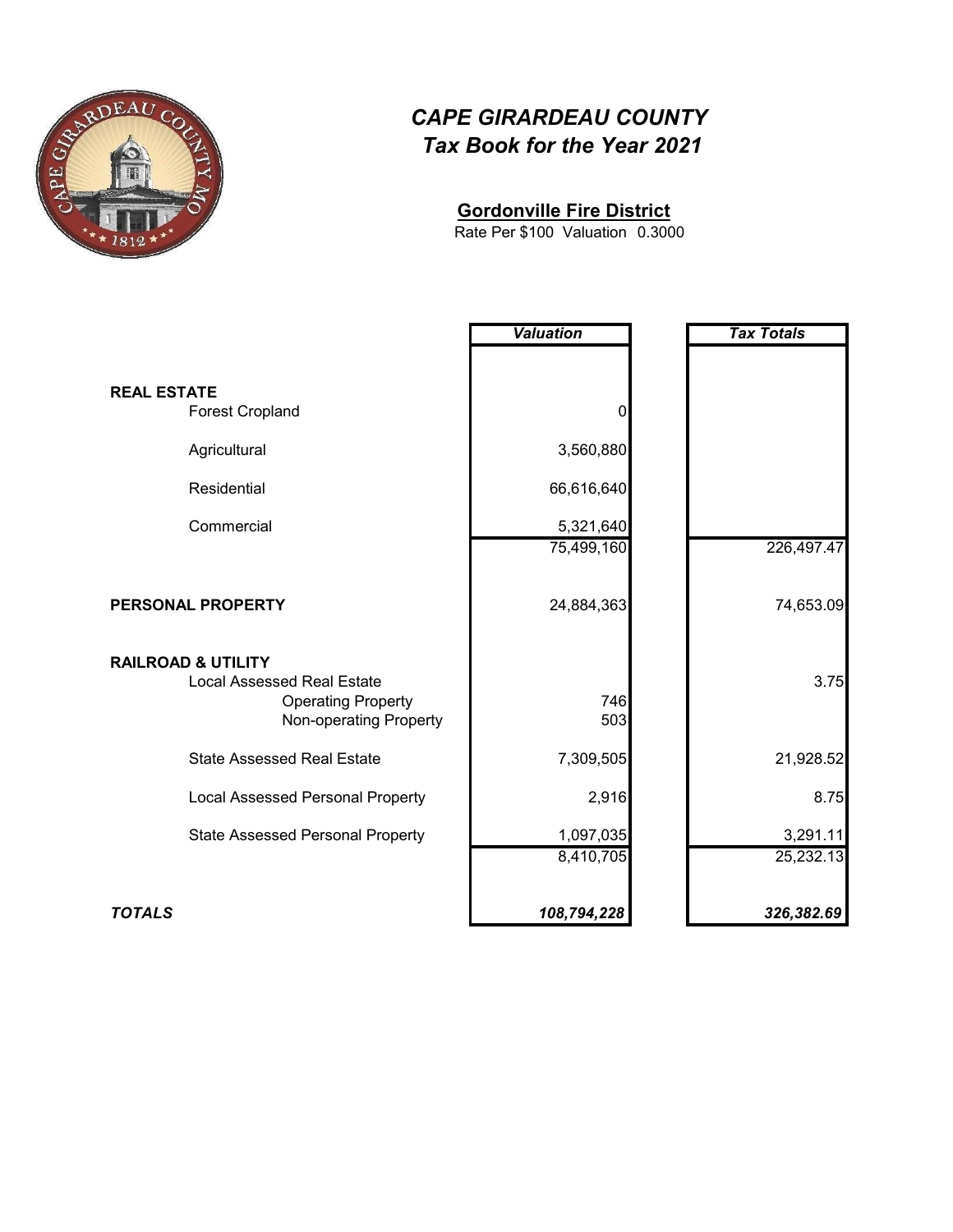

#### **Gordonville Fire District**

0.3000 Rate Per \$100 Valuation

|                                                                    | <b>Valuation</b> | <b>Tax Totals</b> |
|--------------------------------------------------------------------|------------------|-------------------|
|                                                                    |                  |                   |
| <b>REAL ESTATE</b>                                                 |                  |                   |
| <b>Forest Cropland</b>                                             | 0                |                   |
| Agricultural                                                       | 3,560,880        |                   |
| Residential                                                        | 66,616,640       |                   |
| Commercial                                                         | 5,321,640        |                   |
|                                                                    | 75,499,160       | 226,497.47        |
| PERSONAL PROPERTY                                                  | 24,884,363       | 74,653.09         |
| <b>RAILROAD &amp; UTILITY</b><br><b>Local Assessed Real Estate</b> |                  | 3.75              |
| <b>Operating Property</b><br>Non-operating Property                | 746<br>503       |                   |
| <b>State Assessed Real Estate</b>                                  | 7,309,505        | 21,928.52         |
| <b>Local Assessed Personal Property</b>                            | 2,916            | 8.75              |
| <b>State Assessed Personal Property</b>                            | 1,097,035        | 3,291.11          |
|                                                                    | 8,410,705        | 25,232.13         |
| <b>TOTALS</b>                                                      | 108,794,228      | 326,382.69        |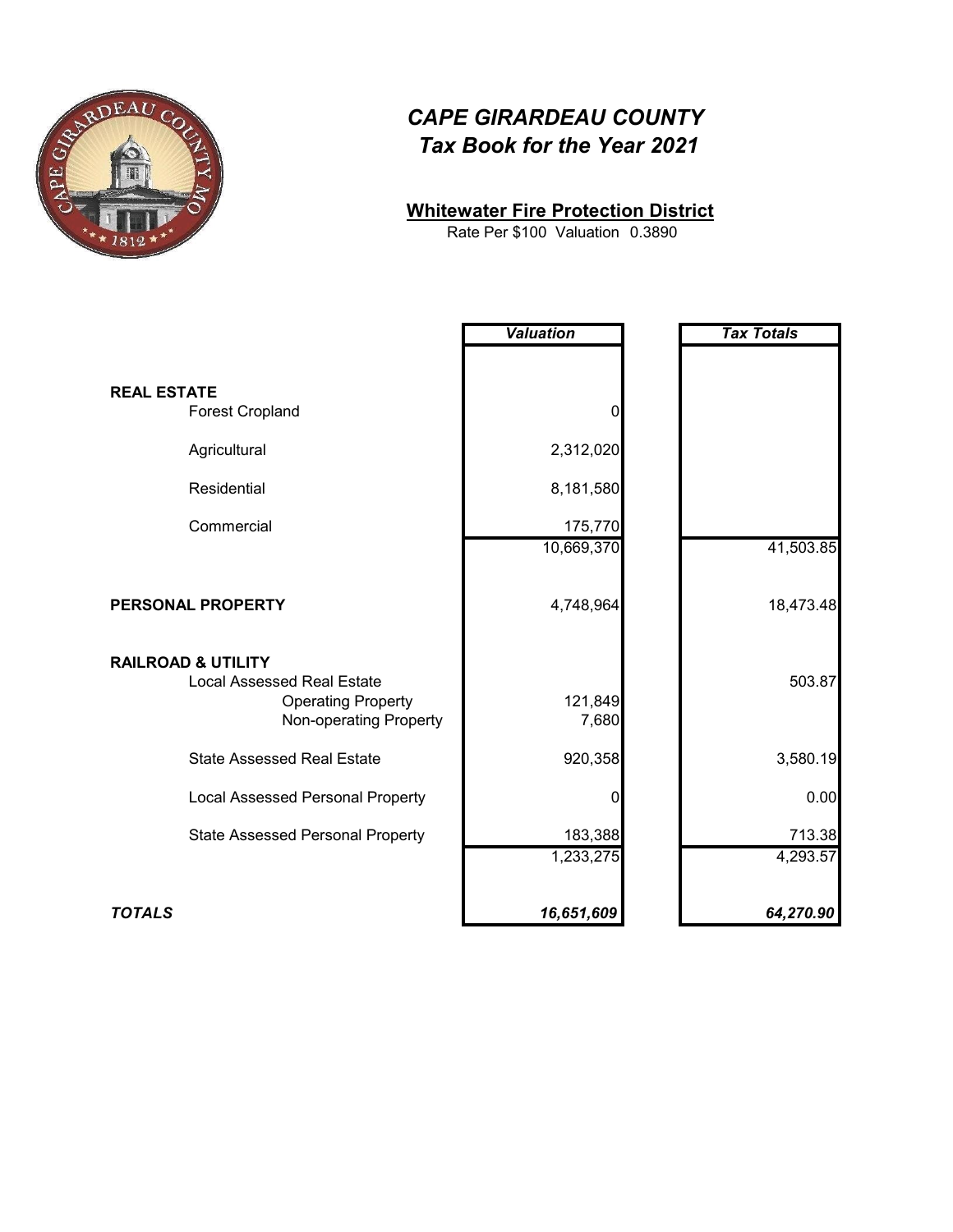

#### **Whitewater Fire Protection District**

Rate Per \$100 Valuation 0.3890

|                                                                    | <b>Valuation</b> | <b>Tax Totals</b> |
|--------------------------------------------------------------------|------------------|-------------------|
|                                                                    |                  |                   |
| <b>REAL ESTATE</b>                                                 |                  |                   |
| <b>Forest Cropland</b>                                             | 0                |                   |
| Agricultural                                                       | 2,312,020        |                   |
| Residential                                                        | 8,181,580        |                   |
| Commercial                                                         | 175,770          |                   |
|                                                                    | 10,669,370       | 41,503.85         |
| PERSONAL PROPERTY                                                  | 4,748,964        | 18,473.48         |
| <b>RAILROAD &amp; UTILITY</b><br><b>Local Assessed Real Estate</b> |                  | 503.87            |
| <b>Operating Property</b><br>Non-operating Property                | 121,849<br>7,680 |                   |
| <b>State Assessed Real Estate</b>                                  | 920,358          | 3,580.19          |
| <b>Local Assessed Personal Property</b>                            | 0                | 0.00              |
| <b>State Assessed Personal Property</b>                            | 183,388          | 713.38            |
|                                                                    | 1,233,275        | 4,293.57          |
| <b>TOTALS</b>                                                      | 16,651,609       | 64,270.90         |